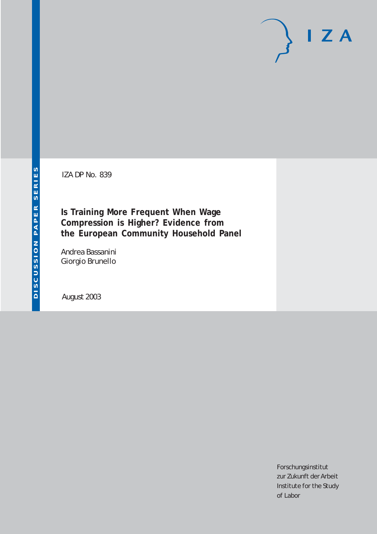IZA DP No. 839

**Is Training More Frequent When Wage Compression is Higher? Evidence from the European Community Household Panel**

Andrea Bassanini Giorgio Brunello

August 2003

Forschungsinstitut zur Zukunft der Arbeit Institute for the Study of Labor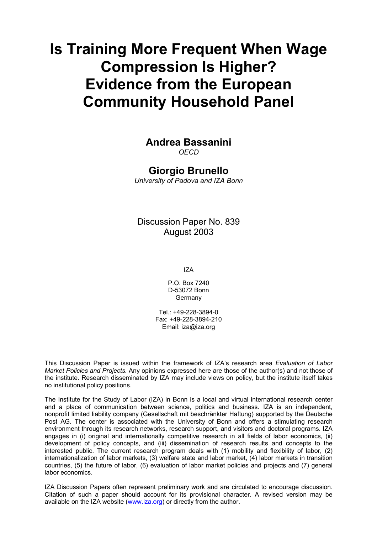# **Is Training More Frequent When Wage Compression Is Higher? Evidence from the European Community Household Panel**

## **Andrea Bassanini**

*OECD* 

### **Giorgio Brunello**

*University of Padova and IZA Bonn*

Discussion Paper No. 839 August 2003

IZA

P.O. Box 7240 D-53072 Bonn **Germany** 

 $Tel + 49-228-3894-0$ Fax: +49-228-3894-210 Email: [iza@iza.org](mailto:iza@iza.org)

This Discussion Paper is issued within the framework of IZA's research area *Evaluation of Labor Market Policies and Projects.* Any opinions expressed here are those of the author(s) and not those of the institute. Research disseminated by IZA may include views on policy, but the institute itself takes no institutional policy positions.

The Institute for the Study of Labor (IZA) in Bonn is a local and virtual international research center and a place of communication between science, politics and business. IZA is an independent, nonprofit limited liability company (Gesellschaft mit beschränkter Haftung) supported by the Deutsche Post AG. The center is associated with the University of Bonn and offers a stimulating research environment through its research networks, research support, and visitors and doctoral programs. IZA engages in (i) original and internationally competitive research in all fields of labor economics, (ii) development of policy concepts, and (iii) dissemination of research results and concepts to the interested public. The current research program deals with (1) mobility and flexibility of labor, (2) internationalization of labor markets, (3) welfare state and labor market, (4) labor markets in transition countries, (5) the future of labor, (6) evaluation of labor market policies and projects and (7) general labor economics.

IZA Discussion Papers often represent preliminary work and are circulated to encourage discussion. Citation of such a paper should account for its provisional character. A revised version may be available on the IZA website ([www.iza.org](http://www.iza.org/)) or directly from the author.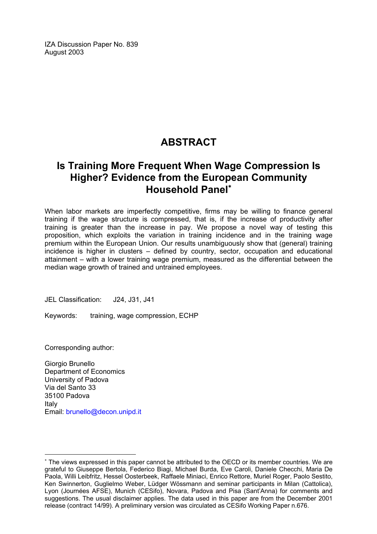IZA Discussion Paper No. 839 August 2003

## **ABSTRACT**

## **Is Training More Frequent When Wage Compression Is Higher? Evidence from the European Community Household Panel**[∗](#page-2-0)

When labor markets are imperfectly competitive, firms may be willing to finance general training if the wage structure is compressed, that is, if the increase of productivity after training is greater than the increase in pay. We propose a novel way of testing this proposition, which exploits the variation in training incidence and in the training wage premium within the European Union. Our results unambiguously show that (general) training incidence is higher in clusters – defined by country, sector, occupation and educational attainment – with a lower training wage premium, measured as the differential between the median wage growth of trained and untrained employees.

JEL Classification: J24, J31, J41

Keywords: training, wage compression, ECHP

Corresponding author:

 $\overline{a}$ 

Giorgio Brunello Department of Economics University of Padova Via del Santo 33 35100 Padova Italy Email: [brunello@decon.unipd.it](mailto:brunello@decon.unipd.it)

<span id="page-2-0"></span><sup>∗</sup> The views expressed in this paper cannot be attributed to the OECD or its member countries. We are grateful to Giuseppe Bertola, Federico Biagi, Michael Burda, Eve Caroli, Daniele Checchi, Maria De Paola, Willi Leibfritz, Hessel Oosterbeek, Raffaele Miniaci, Enrico Rettore, Muriel Roger, Paolo Sestito, Ken Swinnerton, Guglielmo Weber, Lüdger Wössmann and seminar participants in Milan (Cattolica), Lyon (Journées AFSE), Munich (CESifo), Novara, Padova and Pisa (Sant'Anna) for comments and suggestions. The usual disclaimer applies. The data used in this paper are from the December 2001 release (contract 14/99). A preliminary version was circulated as CESifo Working Paper n.676.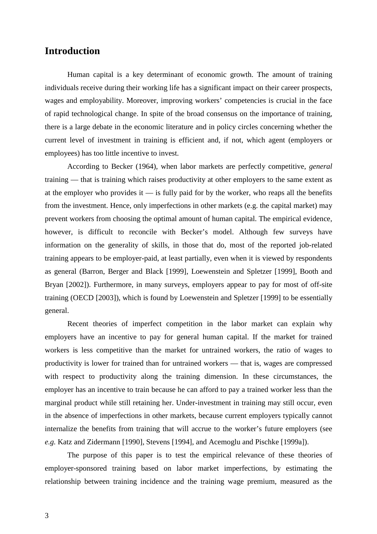#### **Introduction**

Human capital is a key determinant of economic growth. The amount of training individuals receive during their working life has a significant impact on their career prospects, wages and employability. Moreover, improving workers' competencies is crucial in the face of rapid technological change. In spite of the broad consensus on the importance of training, there is a large debate in the economic literature and in policy circles concerning whether the current level of investment in training is efficient and, if not, which agent (employers or employees) has too little incentive to invest.

According to Becker (1964), when labor markets are perfectly competitive, *general* training — that is training which raises productivity at other employers to the same extent as at the employer who provides it  $\frac{1}{1}$  is fully paid for by the worker, who reaps all the benefits from the investment. Hence, only imperfections in other markets (e.g. the capital market) may prevent workers from choosing the optimal amount of human capital. The empirical evidence, however, is difficult to reconcile with Becker's model. Although few surveys have information on the generality of skills, in those that do, most of the reported job-related training appears to be employer-paid, at least partially, even when it is viewed by respondents as general (Barron, Berger and Black [1999], Loewenstein and Spletzer [1999], Booth and Bryan [2002]). Furthermore, in many surveys, employers appear to pay for most of off-site training (OECD [2003]), which is found by Loewenstein and Spletzer [1999] to be essentially general.

Recent theories of imperfect competition in the labor market can explain why employers have an incentive to pay for general human capital. If the market for trained workers is less competitive than the market for untrained workers, the ratio of wages to productivity is lower for trained than for untrained workers — that is, wages are compressed with respect to productivity along the training dimension. In these circumstances, the employer has an incentive to train because he can afford to pay a trained worker less than the marginal product while still retaining her. Under-investment in training may still occur, even in the absence of imperfections in other markets, because current employers typically cannot internalize the benefits from training that will accrue to the worker's future employers (see *e.g.* Katz and Zidermann [1990], Stevens [1994], and Acemoglu and Pischke [1999a]).

The purpose of this paper is to test the empirical relevance of these theories of employer-sponsored training based on labor market imperfections, by estimating the relationship between training incidence and the training wage premium, measured as the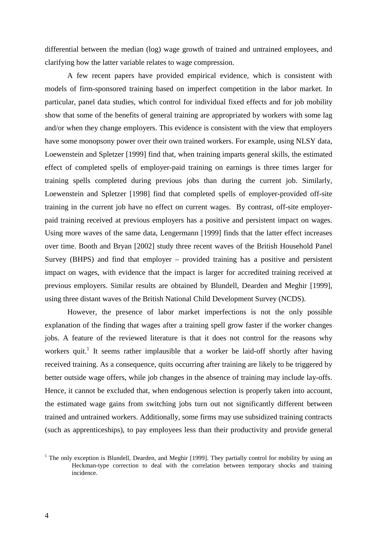differential between the median (log) wage growth of trained and untrained employees, and clarifying how the latter variable relates to wage compression.

A few recent papers have provided empirical evidence, which is consistent with models of firm-sponsored training based on imperfect competition in the labor market. In particular, panel data studies, which control for individual fixed effects and for job mobility show that some of the benefits of general training are appropriated by workers with some lag and/or when they change employers. This evidence is consistent with the view that employers have some monopsony power over their own trained workers. For example, using NLSY data, Loewenstein and Spletzer [1999] find that, when training imparts general skills, the estimated effect of completed spells of employer-paid training on earnings is three times larger for training spells completed during previous jobs than during the current job. Similarly, Loewenstein and Spletzer [1998] find that completed spells of employer-provided off-site training in the current job have no effect on current wages. By contrast, off-site employerpaid training received at previous employers has a positive and persistent impact on wages. Using more waves of the same data, Lengermann [1999] finds that the latter effect increases over time. Booth and Bryan [2002] study three recent waves of the British Household Panel Survey (BHPS) and find that employer – provided training has a positive and persistent impact on wages, with evidence that the impact is larger for accredited training received at previous employers. Similar results are obtained by Blundell, Dearden and Meghir [1999], using three distant waves of the British National Child Development Survey (NCDS).

However, the presence of labor market imperfections is not the only possible explanation of the finding that wages after a training spell grow faster if the worker changes jobs. A feature of the reviewed literature is that it does not control for the reasons why workers quit.<sup>1</sup> It seems rather implausible that a worker be laid-off shortly after having received training. As a consequence, quits occurring after training are likely to be triggered by better outside wage offers, while job changes in the absence of training may include lay-offs. Hence, it cannot be excluded that, when endogenous selection is properly taken into account, the estimated wage gains from switching jobs turn out not significantly different between trained and untrained workers. Additionally, some firms may use subsidized training contracts (such as apprenticeships), to pay employees less than their productivity and provide general

 $1$  The only exception is Blundell, Dearden, and Meghir [1999]. They partially control for mobility by using an Heckman-type correction to deal with the correlation between temporary shocks and training incidence.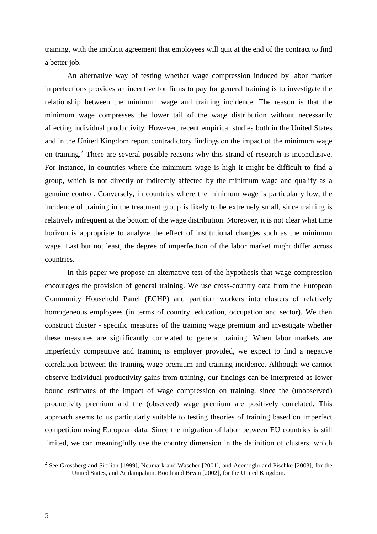training, with the implicit agreement that employees will quit at the end of the contract to find a better job.

An alternative way of testing whether wage compression induced by labor market imperfections provides an incentive for firms to pay for general training is to investigate the relationship between the minimum wage and training incidence. The reason is that the minimum wage compresses the lower tail of the wage distribution without necessarily affecting individual productivity. However, recent empirical studies both in the United States and in the United Kingdom report contradictory findings on the impact of the minimum wage on training.<sup>2</sup> There are several possible reasons why this strand of research is inconclusive. For instance, in countries where the minimum wage is high it might be difficult to find a group, which is not directly or indirectly affected by the minimum wage and qualify as a genuine control. Conversely, in countries where the minimum wage is particularly low, the incidence of training in the treatment group is likely to be extremely small, since training is relatively infrequent at the bottom of the wage distribution. Moreover, it is not clear what time horizon is appropriate to analyze the effect of institutional changes such as the minimum wage. Last but not least, the degree of imperfection of the labor market might differ across countries.

In this paper we propose an alternative test of the hypothesis that wage compression encourages the provision of general training. We use cross-country data from the European Community Household Panel (ECHP) and partition workers into clusters of relatively homogeneous employees (in terms of country, education, occupation and sector). We then construct cluster - specific measures of the training wage premium and investigate whether these measures are significantly correlated to general training. When labor markets are imperfectly competitive and training is employer provided, we expect to find a negative correlation between the training wage premium and training incidence. Although we cannot observe individual productivity gains from training, our findings can be interpreted as lower bound estimates of the impact of wage compression on training, since the (unobserved) productivity premium and the (observed) wage premium are positively correlated. This approach seems to us particularly suitable to testing theories of training based on imperfect competition using European data. Since the migration of labor between EU countries is still limited, we can meaningfully use the country dimension in the definition of clusters, which

<sup>&</sup>lt;sup>2</sup> See Grossberg and Sicilian [1999], Neumark and Wascher [2001], and Acemoglu and Pischke [2003], for the United States, and Arulampalam, Booth and Bryan [2002], for the United Kingdom.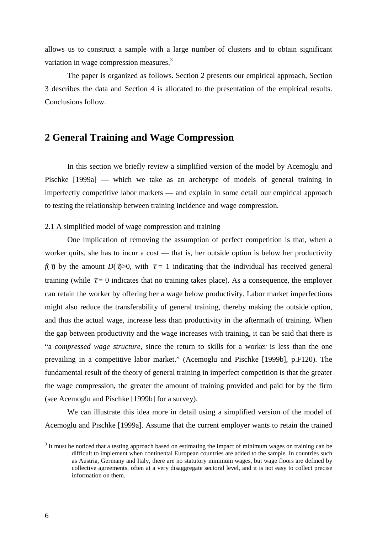allows us to construct a sample with a large number of clusters and to obtain significant variation in wage compression measures.<sup>3</sup>

The paper is organized as follows. Section 2 presents our empirical approach, Section 3 describes the data and Section 4 is allocated to the presentation of the empirical results. Conclusions follow.

### **2 General Training and Wage Compression**

In this section we briefly review a simplified version of the model by Acemoglu and Pischke [1999a] — which we take as an archetype of models of general training in imperfectly competitive labor markets — and explain in some detail our empirical approach to testing the relationship between training incidence and wage compression.

#### 2.1 A simplified model of wage compression and training

One implication of removing the assumption of perfect competition is that, when a worker quits, she has to incur a cost — that is, her outside option is below her productivity *f*( $\tau$ ) by the amount *D*( $\tau$ )>0, with  $\tau = 1$  indicating that the individual has received general training (while  $\tau = 0$  indicates that no training takes place). As a consequence, the employer can retain the worker by offering her a wage below productivity. Labor market imperfections might also reduce the transferability of general training, thereby making the outside option, and thus the actual wage, increase less than productivity in the aftermath of training. When the gap between productivity and the wage increases with training, it can be said that there is "a *compressed wage structure*, since the return to skills for a worker is less than the one prevailing in a competitive labor market." (Acemoglu and Pischke [1999b], p.F120). The fundamental result of the theory of general training in imperfect competition is that the greater the wage compression, the greater the amount of training provided and paid for by the firm (see Acemoglu and Pischke [1999b] for a survey).

We can illustrate this idea more in detail using a simplified version of the model of Acemoglu and Pischke [1999a]. Assume that the current employer wants to retain the trained

<sup>&</sup>lt;sup>3</sup> It must be noticed that a testing approach based on estimating the impact of minimum wages on training can be difficult to implement when continental European countries are added to the sample. In countries such as Austria, Germany and Italy, there are no statutory minimum wages, but wage floors are defined by collective agreements, often at a very disaggregate sectoral level, and it is not easy to collect precise information on them.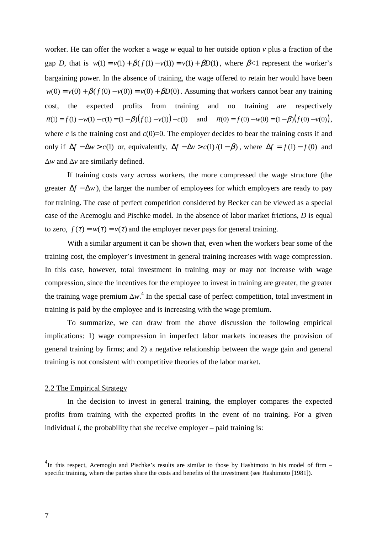worker. He can offer the worker a wage *w* equal to her outside option *v* plus a fraction of the gap *D*, that is  $w(1) = v(1) + \beta(f(1) - v(1)) = v(1) + \beta D(1)$ , where  $\beta < 1$  represent the worker's bargaining power. In the absence of training, the wage offered to retain her would have been  $w(0) = v(0) + \beta(f(0) - v(0)) = v(0) + \beta D(0)$ . Assuming that workers cannot bear any training cost, the expected profits from training and no training are respectively  $\pi(1) = f(1) - w(1) - c(1) = (1 - \beta)(f(1) - v(1)) - c(1)$  and  $\pi(0) = f(0) - w(0) = (1 - \beta)(f(0) - v(0)),$ where *c* is the training cost and  $c(0)=0$ . The employer decides to bear the training costs if and only if  $\Delta f - \Delta w > c(1)$  or, equivalently,  $\Delta f - \Delta v > c(1)/(1 - \beta)$ , where  $\Delta f = f(1) - f(0)$  and ∆*w* and ∆*v* are similarly defined.

If training costs vary across workers, the more compressed the wage structure (the greater  $\Delta f - \Delta w$ , the larger the number of employees for which employers are ready to pay for training. The case of perfect competition considered by Becker can be viewed as a special case of the Acemoglu and Pischke model. In the absence of labor market frictions, *D* is equal to zero,  $f(\tau) = w(\tau) = v(\tau)$  and the employer never pays for general training.

With a similar argument it can be shown that, even when the workers bear some of the training cost, the employer's investment in general training increases with wage compression. In this case, however, total investment in training may or may not increase with wage compression, since the incentives for the employee to invest in training are greater, the greater the training wage premium ∆*w*. <sup>4</sup> In the special case of perfect competition, total investment in training is paid by the employee and is increasing with the wage premium.

To summarize, we can draw from the above discussion the following empirical implications: 1) wage compression in imperfect labor markets increases the provision of general training by firms; and 2) a negative relationship between the wage gain and general training is not consistent with competitive theories of the labor market.

#### 2.2 The Empirical Strategy

In the decision to invest in general training, the employer compares the expected profits from training with the expected profits in the event of no training. For a given individual  $i$ , the probability that she receive employer – paid training is:

 $^{4}$ In this respect, Acemoglu and Pischke's results are similar to those by Hashimoto in his model of firm – specific training, where the parties share the costs and benefits of the investment (see Hashimoto [1981]).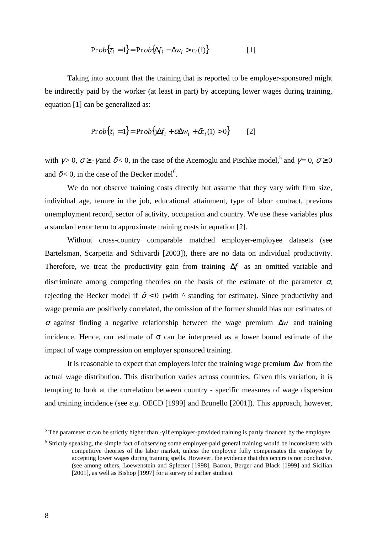$$
\Pr{ob{\tau_i = 1} = \Pr{ob{\Delta f_i - \Delta w_i > c_i(1)}}}
$$
 [1]

Taking into account that the training that is reported to be employer-sponsored might be indirectly paid by the worker (at least in part) by accepting lower wages during training, equation [1] can be generalized as:

$$
\Pr{obj[\tau_i = 1]} = \Pr{obj[\Delta f_i + \sigma \Delta w_i + \delta c_i(1) > 0]}
$$
 [2]

with  $\gamma > 0$ ,  $\sigma \ge \gamma$  and  $\delta < 0$ , in the case of the Acemoglu and Pischke model,<sup>5</sup> and  $\gamma = 0$ ,  $\sigma \ge 0$ and  $\delta$  < 0, in the case of the Becker model<sup>6</sup>.

We do not observe training costs directly but assume that they vary with firm size, individual age, tenure in the job, educational attainment, type of labor contract, previous unemployment record, sector of activity, occupation and country. We use these variables plus a standard error term to approximate training costs in equation [2].

Without cross-country comparable matched employer-employee datasets (see Bartelsman, Scarpetta and Schivardi [2003]), there are no data on individual productivity. Therefore, we treat the productivity gain from training ∆*f* as an omitted variable and discriminate among competing theories on the basis of the estimate of the parameter  $\sigma$ , rejecting the Becker model if  $\hat{\sigma} < 0$  (with  $\wedge$  standing for estimate). Since productivity and wage premia are positively correlated, the omission of the former should bias our estimates of <sup>σ</sup> against finding a negative relationship between the wage premium ∆*w* and training incidence. Hence, our estimate of  $\sigma$  can be interpreted as a lower bound estimate of the impact of wage compression on employer sponsored training.

It is reasonable to expect that employers infer the training wage premium ∆*w* from the actual wage distribution. This distribution varies across countries. Given this variation, it is tempting to look at the correlation between country - specific measures of wage dispersion and training incidence (see *e.g.* OECD [1999] and Brunello [2001]). This approach, however,

<sup>&</sup>lt;sup>5</sup> The parameter  $\sigma$  can be strictly higher than -γ if employer-provided training is partly financed by the employee.

 $6$  Strictly speaking, the simple fact of observing some employer-paid general training would be inconsistent with competitive theories of the labor market, unless the employee fully compensates the employer by accepting lower wages during training spells. However, the evidence that this occurs is not conclusive. (see among others, Loewenstein and Spletzer [1998], Barron, Berger and Black [1999] and Sicilian [2001], as well as Bishop [1997] for a survey of earlier studies).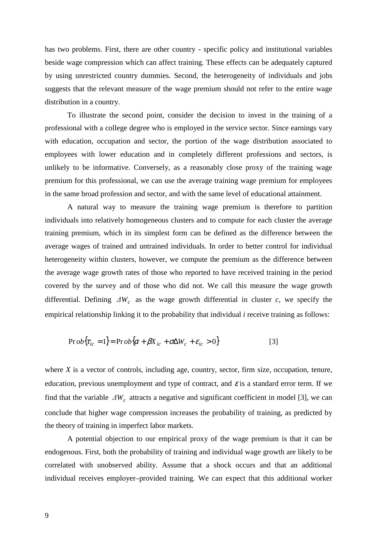has two problems. First, there are other country - specific policy and institutional variables beside wage compression which can affect training. These effects can be adequately captured by using unrestricted country dummies. Second, the heterogeneity of individuals and jobs suggests that the relevant measure of the wage premium should not refer to the entire wage distribution in a country.

To illustrate the second point, consider the decision to invest in the training of a professional with a college degree who is employed in the service sector. Since earnings vary with education, occupation and sector, the portion of the wage distribution associated to employees with lower education and in completely different professions and sectors, is unlikely to be informative. Conversely, as a reasonably close proxy of the training wage premium for this professional, we can use the average training wage premium for employees in the same broad profession and sector, and with the same level of educational attainment.

A natural way to measure the training wage premium is therefore to partition individuals into relatively homogeneous clusters and to compute for each cluster the average training premium, which in its simplest form can be defined as the difference between the average wages of trained and untrained individuals. In order to better control for individual heterogeneity within clusters, however, we compute the premium as the difference between the average wage growth rates of those who reported to have received training in the period covered by the survey and of those who did not. We call this measure the wage growth differential. Defining *∆Wc* as the wage growth differential in cluster *c*, we specify the empirical relationship linking it to the probability that individual *i* receive training as follows:

$$
\Pr{ob{\tau_{ic} = 1} = \Pr{ob{\alpha + \beta X_{ic} + \sigma \Delta W_c + \varepsilon_{ic} > 0}}}
$$
\n[3]

where *X* is a vector of controls, including age, country, sector, firm size, occupation, tenure, education, previous unemployment and type of contract, and  $\varepsilon$  is a standard error term. If we find that the variable  $\Delta W_c$  attracts a negative and significant coefficient in model [3], we can conclude that higher wage compression increases the probability of training, as predicted by the theory of training in imperfect labor markets.

A potential objection to our empirical proxy of the wage premium is that it can be endogenous. First, both the probability of training and individual wage growth are likely to be correlated with unobserved ability. Assume that a shock occurs and that an additional individual receives employer–provided training. We can expect that this additional worker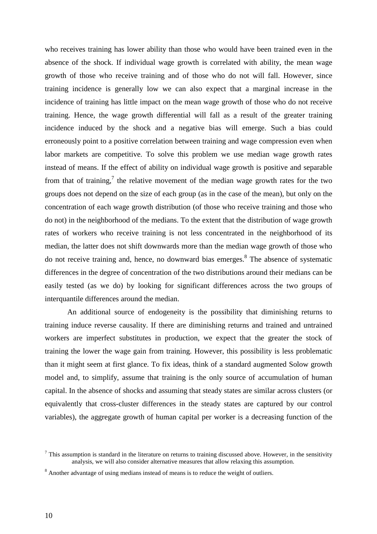who receives training has lower ability than those who would have been trained even in the absence of the shock. If individual wage growth is correlated with ability, the mean wage growth of those who receive training and of those who do not will fall. However, since training incidence is generally low we can also expect that a marginal increase in the incidence of training has little impact on the mean wage growth of those who do not receive training. Hence, the wage growth differential will fall as a result of the greater training incidence induced by the shock and a negative bias will emerge. Such a bias could erroneously point to a positive correlation between training and wage compression even when labor markets are competitive. To solve this problem we use median wage growth rates instead of means. If the effect of ability on individual wage growth is positive and separable from that of training,<sup>7</sup> the relative movement of the median wage growth rates for the two groups does not depend on the size of each group (as in the case of the mean), but only on the concentration of each wage growth distribution (of those who receive training and those who do not) in the neighborhood of the medians. To the extent that the distribution of wage growth rates of workers who receive training is not less concentrated in the neighborhood of its median, the latter does not shift downwards more than the median wage growth of those who do not receive training and, hence, no downward bias emerges.<sup>8</sup> The absence of systematic differences in the degree of concentration of the two distributions around their medians can be easily tested (as we do) by looking for significant differences across the two groups of interquantile differences around the median.

An additional source of endogeneity is the possibility that diminishing returns to training induce reverse causality. If there are diminishing returns and trained and untrained workers are imperfect substitutes in production, we expect that the greater the stock of training the lower the wage gain from training. However, this possibility is less problematic than it might seem at first glance. To fix ideas, think of a standard augmented Solow growth model and, to simplify, assume that training is the only source of accumulation of human capital. In the absence of shocks and assuming that steady states are similar across clusters (or equivalently that cross-cluster differences in the steady states are captured by our control variables), the aggregate growth of human capital per worker is a decreasing function of the

 $<sup>7</sup>$  This assumption is standard in the literature on returns to training discussed above. However, in the sensitivity</sup> analysis, we will also consider alternative measures that allow relaxing this assumption.

<sup>8</sup> Another advantage of using medians instead of means is to reduce the weight of outliers.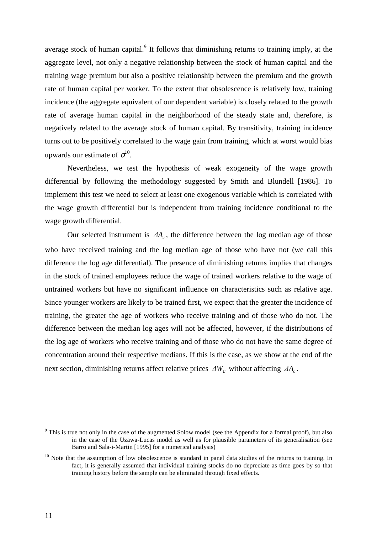average stock of human capital. $9$  It follows that diminishing returns to training imply, at the aggregate level, not only a negative relationship between the stock of human capital and the training wage premium but also a positive relationship between the premium and the growth rate of human capital per worker. To the extent that obsolescence is relatively low, training incidence (the aggregate equivalent of our dependent variable) is closely related to the growth rate of average human capital in the neighborhood of the steady state and, therefore, is negatively related to the average stock of human capital. By transitivity, training incidence turns out to be positively correlated to the wage gain from training, which at worst would bias upwards our estimate of  $\sigma^{10}$ .

Nevertheless, we test the hypothesis of weak exogeneity of the wage growth differential by following the methodology suggested by Smith and Blundell [1986]. To implement this test we need to select at least one exogenous variable which is correlated with the wage growth differential but is independent from training incidence conditional to the wage growth differential.

Our selected instrument is  $\Delta A_c$ , the difference between the log median age of those who have received training and the log median age of those who have not (we call this difference the log age differential). The presence of diminishing returns implies that changes in the stock of trained employees reduce the wage of trained workers relative to the wage of untrained workers but have no significant influence on characteristics such as relative age. Since younger workers are likely to be trained first, we expect that the greater the incidence of training, the greater the age of workers who receive training and of those who do not. The difference between the median log ages will not be affected, however, if the distributions of the log age of workers who receive training and of those who do not have the same degree of concentration around their respective medians. If this is the case, as we show at the end of the next section, diminishing returns affect relative prices  $\Delta W_c$  without affecting  $\Delta A_c$ .

<sup>&</sup>lt;sup>9</sup> This is true not only in the case of the augmented Solow model (see the Appendix for a formal proof), but also in the case of the Uzawa-Lucas model as well as for plausible parameters of its generalisation (see Barro and Sala-i-Martin [1995] for a numerical analysis)

<sup>&</sup>lt;sup>10</sup> Note that the assumption of low obsolescence is standard in panel data studies of the returns to training. In fact, it is generally assumed that individual training stocks do no depreciate as time goes by so that training history before the sample can be eliminated through fixed effects.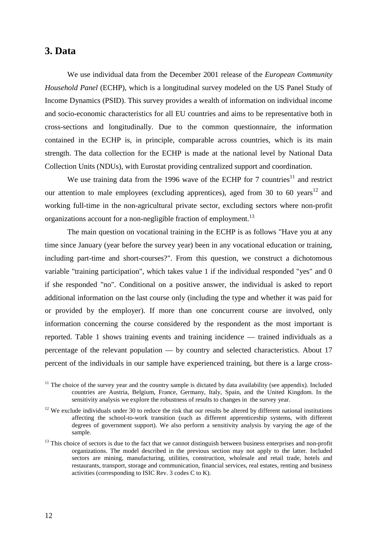#### **3. Data**

We use individual data from the December 2001 release of the *European Community Household Panel* (ECHP), which is a longitudinal survey modeled on the US Panel Study of Income Dynamics (PSID). This survey provides a wealth of information on individual income and socio-economic characteristics for all EU countries and aims to be representative both in cross-sections and longitudinally. Due to the common questionnaire, the information contained in the ECHP is, in principle, comparable across countries, which is its main strength. The data collection for the ECHP is made at the national level by National Data Collection Units (NDUs), with Eurostat providing centralized support and coordination.

We use training data from the 1996 wave of the ECHP for 7 countries<sup>11</sup> and restrict our attention to male employees (excluding apprentices), aged from 30 to 60 years<sup>12</sup> and working full-time in the non-agricultural private sector, excluding sectors where non-profit organizations account for a non-negligible fraction of employment.<sup>13</sup>

The main question on vocational training in the ECHP is as follows "Have you at any time since January (year before the survey year) been in any vocational education or training, including part-time and short-courses?". From this question, we construct a dichotomous variable "training participation", which takes value 1 if the individual responded "yes" and 0 if she responded "no". Conditional on a positive answer, the individual is asked to report additional information on the last course only (including the type and whether it was paid for or provided by the employer). If more than one concurrent course are involved, only information concerning the course considered by the respondent as the most important is reported. Table 1 shows training events and training incidence — trained individuals as a percentage of the relevant population — by country and selected characteristics. About 17 percent of the individuals in our sample have experienced training, but there is a large cross-

 $11$  The choice of the survey year and the country sample is dictated by data availability (see appendix). Included countries are Austria, Belgium, France, Germany, Italy, Spain, and the United Kingdom. In the sensitivity analysis we explore the robustness of results to changes in the survey year.

 $12$  We exclude individuals under 30 to reduce the risk that our results be altered by different national institutions affecting the school-to-work transition (such as different apprenticeship systems, with different degrees of government support). We also perform a sensitivity analysis by varying the age of the sample.

 $13$  This choice of sectors is due to the fact that we cannot distinguish between business enterprises and non-profit organizations. The model described in the previous section may not apply to the latter. Included sectors are mining, manufacturing, utilities, construction, wholesale and retail trade, hotels and restaurants, transport, storage and communication, financial services, real estates, renting and business activities (corresponding to ISIC Rev. 3 codes C to K).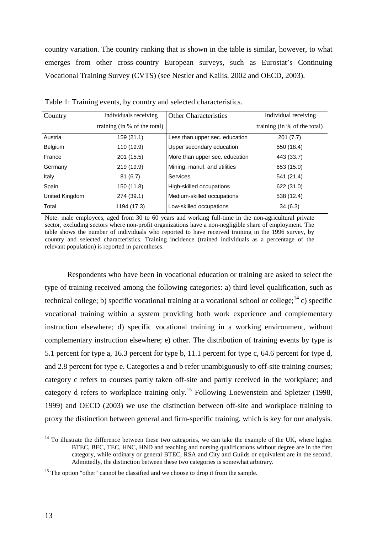country variation. The country ranking that is shown in the table is similar, however, to what emerges from other cross-country European surveys, such as Eurostat's Continuing Vocational Training Survey (CVTS) (see Nestler and Kailis, 2002 and OECD, 2003).

| Country        | Individuals receiving        | <b>Other Characteristics</b>   | Individual receiving         |
|----------------|------------------------------|--------------------------------|------------------------------|
|                | training (in % of the total) |                                | training (in % of the total) |
| Austria        | 159 (21.1)                   | Less than upper sec. education | 201(7.7)                     |
| <b>Belgium</b> | 110 (19.9)                   | Upper secondary education      | 550 (18.4)                   |
| France         | 201 (15.5)                   | More than upper sec. education | 443 (33.7)                   |
| Germany        | 219 (19.9)                   | Mining, manuf. and utilities   | 653 (15.0)                   |
| Italy          | 81(6.7)                      | Services                       | 541 (21.4)                   |
| Spain          | 150 (11.8)                   | High-skilled occupations       | 622 (31.0)                   |
| United Kingdom | 274 (39.1)                   | Medium-skilled occupations     | 538 (12.4)                   |
| Total          | 1194 (17.3)                  | Low-skilled occupations        | 34(6.3)                      |

Table 1: Training events, by country and selected characteristics.

Note: male employees, aged from 30 to 60 years and working full-time in the non-agricultural private sector, excluding sectors where non-profit organizations have a non-negligible share of employment. The table shows the number of individuals who reported to have received training in the 1996 survey, by country and selected characteristics. Training incidence (trained individuals as a percentage of the relevant population) is reported in parentheses.

Respondents who have been in vocational education or training are asked to select the type of training received among the following categories: a) third level qualification, such as technical college; b) specific vocational training at a vocational school or college;  $^{14}$  c) specific vocational training within a system providing both work experience and complementary instruction elsewhere; d) specific vocational training in a working environment, without complementary instruction elsewhere; e) other. The distribution of training events by type is 5.1 percent for type a, 16.3 percent for type b, 11.1 percent for type c, 64.6 percent for type d, and 2.8 percent for type e. Categories a and b refer unambiguously to off-site training courses; category c refers to courses partly taken off-site and partly received in the workplace; and category d refers to workplace training only.<sup>15</sup> Following Loewenstein and Spletzer (1998, 1999) and OECD (2003) we use the distinction between off-site and workplace training to proxy the distinction between general and firm-specific training, which is key for our analysis.

 $14$  To illustrate the difference between these two categories, we can take the example of the UK, where higher BTEC, BEC, TEC, HNC, HND and teaching and nursing qualifications without degree are in the first category, while ordinary or general BTEC, RSA and City and Guilds or equivalent are in the second. Admittedly, the distinction between these two categories is somewhat arbitrary.

<sup>15</sup> The option "other" cannot be classified and we choose to drop it from the sample.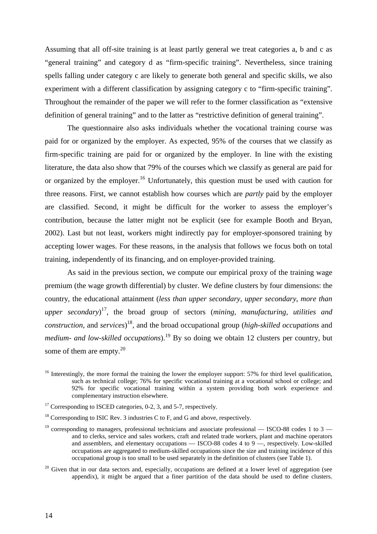Assuming that all off-site training is at least partly general we treat categories a, b and c as "general training" and category d as "firm-specific training". Nevertheless, since training spells falling under category c are likely to generate both general and specific skills, we also experiment with a different classification by assigning category c to "firm-specific training". Throughout the remainder of the paper we will refer to the former classification as "extensive definition of general training" and to the latter as "restrictive definition of general training".

The questionnaire also asks individuals whether the vocational training course was paid for or organized by the employer. As expected, 95% of the courses that we classify as firm-specific training are paid for or organized by the employer. In line with the existing literature, the data also show that 79% of the courses which we classify as general are paid for or organized by the employer.<sup>16</sup> Unfortunately, this question must be used with caution for three reasons. First, we cannot establish how courses which are *partly* paid by the employer are classified. Second, it might be difficult for the worker to assess the employer's contribution, because the latter might not be explicit (see for example Booth and Bryan, 2002). Last but not least, workers might indirectly pay for employer-sponsored training by accepting lower wages. For these reasons, in the analysis that follows we focus both on total training, independently of its financing, and on employer-provided training.

As said in the previous section, we compute our empirical proxy of the training wage premium (the wage growth differential) by cluster. We define clusters by four dimensions: the country, the educational attainment (*less than upper secondary*, *upper secondary*, *more than upper secondary*) 17, the broad group of sectors (*mining, manufacturing, utilities and construction*, and *services*) 18, and the broad occupational group (*high-skilled occupations* and *medium- and low-skilled occupations*).<sup>19</sup> By so doing we obtain 12 clusters per country, but some of them are empty. $2^{0}$ 

 $20$  Given that in our data sectors and, especially, occupations are defined at a lower level of aggregation (see appendix), it might be argued that a finer partition of the data should be used to define clusters.

<sup>&</sup>lt;sup>16</sup> Interestingly, the more formal the training the lower the employer support: 57% for third level qualification, such as technical college; 76% for specific vocational training at a vocational school or college; and 92% for specific vocational training within a system providing both work experience and complementary instruction elsewhere.

<sup>&</sup>lt;sup>17</sup> Corresponding to ISCED categories, 0-2, 3, and 5-7, respectively.

 $18$  Corresponding to ISIC Rev. 3 industries C to F, and G and above, respectively.

<sup>&</sup>lt;sup>19</sup> corresponding to managers, professional technicians and associate professional — ISCO-88 codes 1 to 3 and to clerks, service and sales workers, craft and related trade workers, plant and machine operators and assemblers, and elementary occupations — ISCO-88 codes 4 to 9 —, respectively. Low-skilled occupations are aggregated to medium-skilled occupations since the size and training incidence of this occupational group is too small to be used separately in the definition of clusters (see Table 1).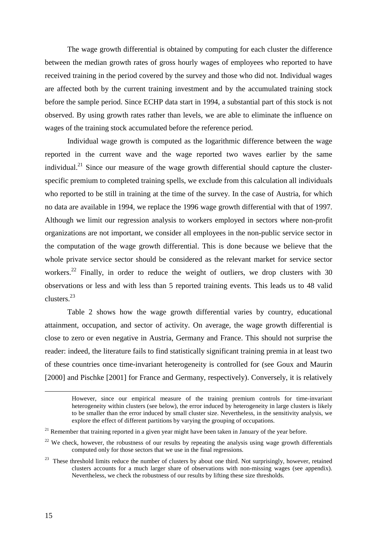The wage growth differential is obtained by computing for each cluster the difference between the median growth rates of gross hourly wages of employees who reported to have received training in the period covered by the survey and those who did not. Individual wages are affected both by the current training investment and by the accumulated training stock before the sample period. Since ECHP data start in 1994, a substantial part of this stock is not observed. By using growth rates rather than levels, we are able to eliminate the influence on wages of the training stock accumulated before the reference period.

Individual wage growth is computed as the logarithmic difference between the wage reported in the current wave and the wage reported two waves earlier by the same individual.<sup>21</sup> Since our measure of the wage growth differential should capture the clusterspecific premium to completed training spells, we exclude from this calculation all individuals who reported to be still in training at the time of the survey. In the case of Austria, for which no data are available in 1994, we replace the 1996 wage growth differential with that of 1997. Although we limit our regression analysis to workers employed in sectors where non-profit organizations are not important, we consider all employees in the non-public service sector in the computation of the wage growth differential. This is done because we believe that the whole private service sector should be considered as the relevant market for service sector workers.<sup>22</sup> Finally, in order to reduce the weight of outliers, we drop clusters with 30 observations or less and with less than 5 reported training events. This leads us to 48 valid clusters.23

Table 2 shows how the wage growth differential varies by country, educational attainment, occupation, and sector of activity. On average, the wage growth differential is close to zero or even negative in Austria, Germany and France. This should not surprise the reader: indeed, the literature fails to find statistically significant training premia in at least two of these countries once time-invariant heterogeneity is controlled for (see Goux and Maurin [2000] and Pischke [2001] for France and Germany, respectively). Conversely, it is relatively

However, since our empirical measure of the training premium controls for time-invariant heterogeneity within clusters (see below), the error induced by heterogeneity in large clusters is likely to be smaller than the error induced by small cluster size. Nevertheless, in the sensitivity analysis, we explore the effect of different partitions by varying the grouping of occupations.

 $21$  Remember that training reported in a given year might have been taken in January of the year before.

 $^{22}$  We check, however, the robustness of our results by repeating the analysis using wage growth differentials computed only for those sectors that we use in the final regressions.

 $23$  These threshold limits reduce the number of clusters by about one third. Not surprisingly, however, retained clusters accounts for a much larger share of observations with non-missing wages (see appendix). Nevertheless, we check the robustness of our results by lifting these size thresholds.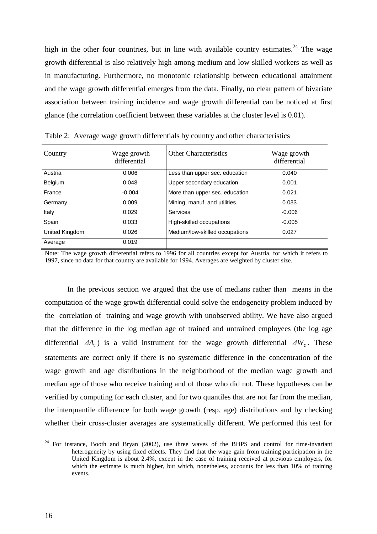high in the other four countries, but in line with available country estimates.<sup>24</sup> The wage growth differential is also relatively high among medium and low skilled workers as well as in manufacturing. Furthermore, no monotonic relationship between educational attainment and the wage growth differential emerges from the data. Finally, no clear pattern of bivariate association between training incidence and wage growth differential can be noticed at first glance (the correlation coefficient between these variables at the cluster level is 0.01).

| Country        | Wage growth<br>differential | <b>Other Characteristics</b>   | Wage growth<br>differential |
|----------------|-----------------------------|--------------------------------|-----------------------------|
| Austria        | 0.006                       | Less than upper sec. education | 0.040                       |
| <b>Belgium</b> | 0.048                       | Upper secondary education      | 0.001                       |
| France         | $-0.004$                    | More than upper sec. education | 0.021                       |
| Germany        | 0.009                       | Mining, manuf. and utilities   | 0.033                       |
| Italy          | 0.029                       | Services                       | $-0.006$                    |
| Spain          | 0.033                       | High-skilled occupations       | $-0.005$                    |
| United Kingdom | 0.026                       | Medium/low-skilled occupations | 0.027                       |
| Average        | 0.019                       |                                |                             |

Table 2: Average wage growth differentials by country and other characteristics

Note: The wage growth differential refers to 1996 for all countries except for Austria, for which it refers to 1997, since no data for that country are available for 1994. Averages are weighted by cluster size.

In the previous section we argued that the use of medians rather than means in the computation of the wage growth differential could solve the endogeneity problem induced by the correlation of training and wage growth with unobserved ability. We have also argued that the difference in the log median age of trained and untrained employees (the log age differential *∆A<sub>c</sub>*) is a valid instrument for the wage growth differential  $\Delta W_c$ . These statements are correct only if there is no systematic difference in the concentration of the wage growth and age distributions in the neighborhood of the median wage growth and median age of those who receive training and of those who did not. These hypotheses can be verified by computing for each cluster, and for two quantiles that are not far from the median, the interquantile difference for both wage growth (resp. age) distributions and by checking whether their cross-cluster averages are systematically different. We performed this test for

 $24$  For instance, Booth and Bryan (2002), use three waves of the BHPS and control for time-invariant heterogeneity by using fixed effects. They find that the wage gain from training participation in the United Kingdom is about 2.4%, except in the case of training received at previous employers, for which the estimate is much higher, but which, nonetheless, accounts for less than 10% of training events.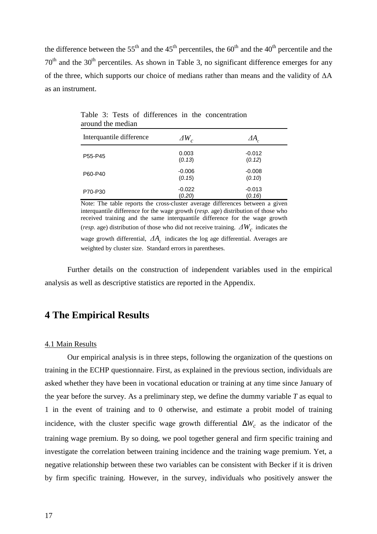the difference between the  $55<sup>th</sup>$  and the  $45<sup>th</sup>$  percentiles, the  $60<sup>th</sup>$  and the 40<sup>th</sup> percentile and the  $70<sup>th</sup>$  and the  $30<sup>th</sup>$  percentiles. As shown in Table 3, no significant difference emerges for any of the three, which supports our choice of medians rather than means and the validity of ∆A as an instrument.

| Interquantile difference | $\Delta W_c$       | $\varDelta A_{c}$  |
|--------------------------|--------------------|--------------------|
| P55-P45                  | 0.003<br>(0.13)    | $-0.012$<br>(0.12) |
| P60-P40                  | $-0.006$<br>(0.15) | $-0.008$<br>(0.10) |
| P70-P30                  | $-0.022$<br>(0.20) | $-0.013$<br>(0.16) |

Table 3: Tests of differences in the concentration around the median

Note: The table reports the cross-cluster average differences between a given interquantile difference for the wage growth (*resp.* age) distribution of those who received training and the same interquantile difference for the wage growth (*resp.* age) distribution of those who did not receive training.  $\Delta W_c$  indicates the wage growth differential,  $\Delta A_c$  indicates the log age differential. Averages are weighted by cluster size. Standard errors in parentheses.

Further details on the construction of independent variables used in the empirical analysis as well as descriptive statistics are reported in the Appendix.

### **4 The Empirical Results**

#### 4.1 Main Results

Our empirical analysis is in three steps, following the organization of the questions on training in the ECHP questionnaire. First, as explained in the previous section, individuals are asked whether they have been in vocational education or training at any time since January of the year before the survey. As a preliminary step, we define the dummy variable *T* as equal to 1 in the event of training and to 0 otherwise, and estimate a probit model of training incidence, with the cluster specific wage growth differential  $\Delta W_c$  as the indicator of the training wage premium. By so doing, we pool together general and firm specific training and investigate the correlation between training incidence and the training wage premium. Yet, a negative relationship between these two variables can be consistent with Becker if it is driven by firm specific training. However, in the survey, individuals who positively answer the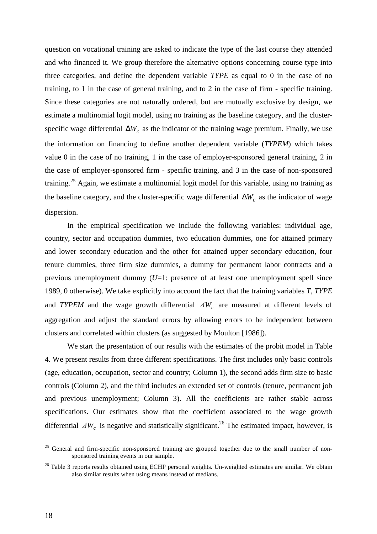question on vocational training are asked to indicate the type of the last course they attended and who financed it. We group therefore the alternative options concerning course type into three categories, and define the dependent variable *TYPE* as equal to 0 in the case of no training, to 1 in the case of general training, and to 2 in the case of firm - specific training. Since these categories are not naturally ordered, but are mutually exclusive by design, we estimate a multinomial logit model, using no training as the baseline category, and the clusterspecific wage differential ∆*W<sub>c</sub>* as the indicator of the training wage premium. Finally, we use the information on financing to define another dependent variable (*TYPEM*) which takes value 0 in the case of no training, 1 in the case of employer-sponsored general training, 2 in the case of employer-sponsored firm - specific training, and 3 in the case of non-sponsored training.<sup>25</sup> Again, we estimate a multinomial logit model for this variable, using no training as the baseline category, and the cluster-specific wage differential ∆*W<sub>c</sub>* as the indicator of wage dispersion.

In the empirical specification we include the following variables: individual age, country, sector and occupation dummies, two education dummies, one for attained primary and lower secondary education and the other for attained upper secondary education, four tenure dummies, three firm size dummies, a dummy for permanent labor contracts and a previous unemployment dummy (*U*=1: presence of at least one unemployment spell since 1989, 0 otherwise). We take explicitly into account the fact that the training variables *T*, *TYPE* and *TYPEM* and the wage growth differential  $\Delta W_c$  are measured at different levels of aggregation and adjust the standard errors by allowing errors to be independent between clusters and correlated within clusters (as suggested by Moulton [1986]).

We start the presentation of our results with the estimates of the probit model in Table 4. We present results from three different specifications. The first includes only basic controls (age, education, occupation, sector and country; Column 1), the second adds firm size to basic controls (Column 2), and the third includes an extended set of controls (tenure, permanent job and previous unemployment; Column 3). All the coefficients are rather stable across specifications. Our estimates show that the coefficient associated to the wage growth differential  $\Delta W_c$  is negative and statistically significant.<sup>26</sup> The estimated impact, however, is

<sup>&</sup>lt;sup>25</sup> General and firm-specific non-sponsored training are grouped together due to the small number of nonsponsored training events in our sample.

<sup>&</sup>lt;sup>26</sup> Table 3 reports results obtained using ECHP personal weights. Un-weighted estimates are similar. We obtain also similar results when using means instead of medians.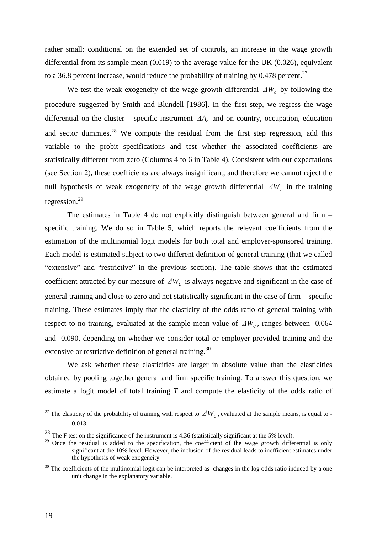rather small: conditional on the extended set of controls, an increase in the wage growth differential from its sample mean  $(0.019)$  to the average value for the UK  $(0.026)$ , equivalent to a 36.8 percent increase, would reduce the probability of training by 0.478 percent.<sup>27</sup>

We test the weak exogeneity of the wage growth differential  $\Delta W_c$  by following the procedure suggested by Smith and Blundell [1986]. In the first step, we regress the wage differential on the cluster – specific instrument *∆A<sub>c</sub>* and on country, occupation, education and sector dummies.<sup>28</sup> We compute the residual from the first step regression, add this variable to the probit specifications and test whether the associated coefficients are statistically different from zero (Columns 4 to 6 in Table 4). Consistent with our expectations (see Section 2), these coefficients are always insignificant, and therefore we cannot reject the null hypothesis of weak exogeneity of the wage growth differential  $\Delta W_c$  in the training regression.<sup>29</sup>

The estimates in Table 4 do not explicitly distinguish between general and firm – specific training. We do so in Table 5, which reports the relevant coefficients from the estimation of the multinomial logit models for both total and employer-sponsored training. Each model is estimated subject to two different definition of general training (that we called "extensive" and "restrictive" in the previous section). The table shows that the estimated coefficient attracted by our measure of  $\Delta W_c$  is always negative and significant in the case of general training and close to zero and not statistically significant in the case of firm – specific training. These estimates imply that the elasticity of the odds ratio of general training with respect to no training, evaluated at the sample mean value of  $\Delta W_c$ , ranges between -0.064 and -0.090, depending on whether we consider total or employer-provided training and the extensive or restrictive definition of general training.<sup>30</sup>

We ask whether these elasticities are larger in absolute value than the elasticities obtained by pooling together general and firm specific training. To answer this question, we estimate a logit model of total training *T* and compute the elasticity of the odds ratio of

<sup>&</sup>lt;sup>27</sup> The elasticity of the probability of training with respect to  $\Delta W_c$ , evaluated at the sample means, is equal to -0.013.

 $^{28}$  The F test on the significance of the instrument is 4.36 (statistically significant at the 5% level).

<sup>&</sup>lt;sup>29</sup> Once the residual is added to the specification, the coefficient of the wage growth differential is only significant at the 10% level. However, the inclusion of the residual leads to inefficient estimates under the hypothesis of weak exogeneity.

 $30$  The coefficients of the multinomial logit can be interpreted as changes in the log odds ratio induced by a one unit change in the explanatory variable.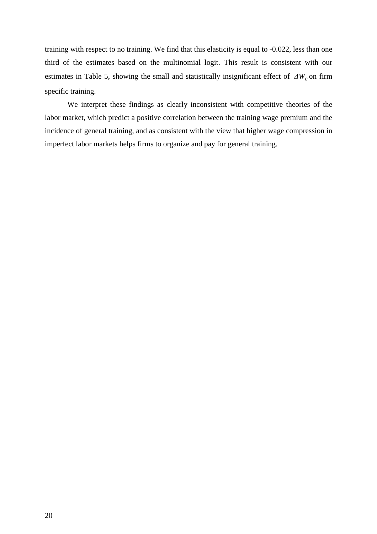training with respect to no training. We find that this elasticity is equal to -0.022, less than one third of the estimates based on the multinomial logit. This result is consistent with our estimates in Table 5, showing the small and statistically insignificant effect of  $\Delta W_c$  on firm specific training.

We interpret these findings as clearly inconsistent with competitive theories of the labor market, which predict a positive correlation between the training wage premium and the incidence of general training, and as consistent with the view that higher wage compression in imperfect labor markets helps firms to organize and pay for general training.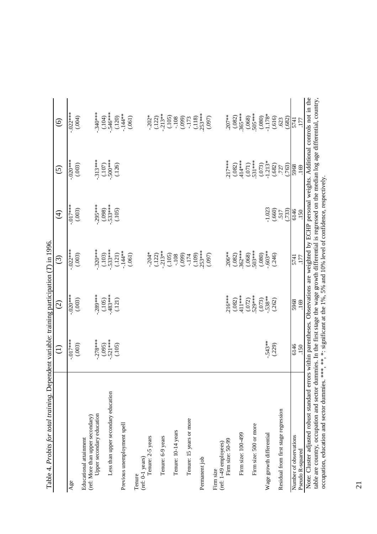| Table 4. Probits for total training. Dependent variable: training participation (T) in 1996.                                                                                                                                                                                                                        |                                                                                  |                     |                              |                       |                     |                                                         |
|---------------------------------------------------------------------------------------------------------------------------------------------------------------------------------------------------------------------------------------------------------------------------------------------------------------------|----------------------------------------------------------------------------------|---------------------|------------------------------|-----------------------|---------------------|---------------------------------------------------------|
|                                                                                                                                                                                                                                                                                                                     | E                                                                                | $\widehat{\odot}$   | $\widehat{\odot}$            | $\bigoplus$           | $\widehat{\odot}$   | $\circledcirc$                                          |
| Age                                                                                                                                                                                                                                                                                                                 | $-0.017***$<br>(.003)                                                            | $-020$ **<br>(.003) | $-022***$<br>(.003)          | $-0.017***$<br>(.003) | $-020***$<br>(.003) | $-022***$<br>(.004)                                     |
| Educational attainment                                                                                                                                                                                                                                                                                              |                                                                                  |                     |                              |                       |                     |                                                         |
| Upper secondary education<br>(ref: More than upper secondary)                                                                                                                                                                                                                                                       | $.278***$                                                                        | $-289***$           | $-320***$                    | $-295***$             | $.313***$           | $.340***$                                               |
| Less than upper secondary education                                                                                                                                                                                                                                                                                 | $.521***$<br>(.095)                                                              | $.483***$<br>(.105) | $.533***$<br>(.103)          | $.533***$<br>(.098)   | $.500***$<br>(.107) | .546***<br>(104)                                        |
| Previous unemployment spell                                                                                                                                                                                                                                                                                         | (.105)                                                                           | (.121)              | $-144**$<br>(.121)           | (.105)                | (.126)              | $-144**$<br>(.120)                                      |
| Tenure                                                                                                                                                                                                                                                                                                              |                                                                                  |                     | (.061)                       |                       |                     | (.061)                                                  |
| Tenure: 2-5 years<br>(ref: 0-1 years)                                                                                                                                                                                                                                                                               |                                                                                  |                     |                              |                       |                     |                                                         |
| Tenure: 6-9 years                                                                                                                                                                                                                                                                                                   |                                                                                  |                     | $-204*$<br>(.122)<br>-.213** |                       |                     | $-202$<br>$-122$<br>$-13$<br>$-165$<br>$-169$<br>$-169$ |
| Tenure: 10-14 years                                                                                                                                                                                                                                                                                                 |                                                                                  |                     | (.105)                       |                       |                     |                                                         |
| Tenure: 15 years or more                                                                                                                                                                                                                                                                                            |                                                                                  |                     | (660)<br>$-174$              |                       |                     | $-173$                                                  |
| Permanent job                                                                                                                                                                                                                                                                                                       |                                                                                  |                     | $253***$<br>(109)            |                       |                     | $253***$<br>(.118)                                      |
|                                                                                                                                                                                                                                                                                                                     |                                                                                  |                     | (0.097)                      |                       |                     | (0.097)                                                 |
| Firm size: 50-99<br>(ref: 1-49 employees)<br>Firm size                                                                                                                                                                                                                                                              |                                                                                  | $216***$            | $.206**$                     |                       | $217***$            | $.207***$                                               |
|                                                                                                                                                                                                                                                                                                                     |                                                                                  | (.082)              | (.082)                       |                       | (.082)              | (.082)                                                  |
| Firm size: 100-499                                                                                                                                                                                                                                                                                                  |                                                                                  | .411 ***<br>(.072)  | 362***<br>(.068)             |                       | 414***<br>(071)     | 365***<br>(.068)                                        |
| Firm size: 500 or more                                                                                                                                                                                                                                                                                              |                                                                                  | 529***              | 503***                       |                       | 531 ***             | .505***                                                 |
| Wage growth differential                                                                                                                                                                                                                                                                                            | $-.543**$                                                                        | $.538**$<br>(.073)  | .603**<br>(.080)             | $-1.023$              | $-1.213*$<br>(.073) | $-1.178*$<br>(.080)                                     |
|                                                                                                                                                                                                                                                                                                                     | (.229)                                                                           | (.262)              | (.246)                       | (.660)                | (.682)              | (.616)                                                  |
| Residual from first stage regression                                                                                                                                                                                                                                                                                |                                                                                  |                     |                              | (733)<br>517          | (.763)<br>.727      | (.682)<br>.623                                          |
| Number of observations                                                                                                                                                                                                                                                                                              | 6146                                                                             | 5968                | 5741                         | 6146                  | 5968                | 5741                                                    |
| Pseudo R-squared                                                                                                                                                                                                                                                                                                    | .150                                                                             | .169                | 177                          | 150                   | 169                 | 177                                                     |
| Note: Cluster adjusted robust standard errors within parentheses. Observations are weighted by ECHP personal weights. Additional controls not in the<br>table are country, occupation and sector dummies. In the first stage the wage growth differential is regressed on the median log age differential, country, |                                                                                  |                     |                              |                       |                     |                                                         |
| occupation, education and sector dummies.                                                                                                                                                                                                                                                                           | ***, **, *: significant at the 1%, 5% and 10% level of confidence, respectively. |                     |                              |                       |                     |                                                         |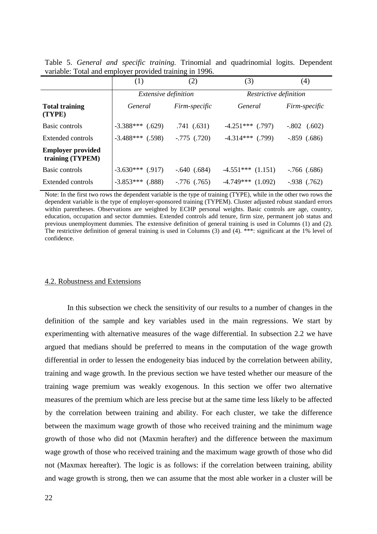|                                              | (1)                         | (2)              | (3)                    | (4)              |
|----------------------------------------------|-----------------------------|------------------|------------------------|------------------|
|                                              | <i>Extensive definition</i> |                  | Restrictive definition |                  |
| <b>Total training</b><br>(TYPE)              | General                     | Firm-specific    | General                | Firm-specific    |
| Basic controls                               | $-3.388***$ (.629)          | .741(.631)       | $-4.251***$ (.797)     | $-.802$ $(.602)$ |
| <b>Extended controls</b>                     | $-3.488***$ (.598)          | $-.775$ $(.720)$ | $-4.314***$ (.799)     | $-.859$ $(.686)$ |
| <b>Employer provided</b><br>training (TYPEM) |                             |                  |                        |                  |
| Basic controls                               | $-3.630***$ (.917)          | $-.640(.684)$    | $-4.551***$ $(1.151)$  | $-766$ (.686)    |
| Extended controls                            | $-3.853***$<br>(.888)       | $-0.776$ (.765)  | $-4.749***$ (1.092)    | $-.938$ $(.762)$ |

Table 5. *General and specific training.* Trinomial and quadrinomial logits. Dependent variable: Total and employer provided training in 1996.

Note: In the first two rows the dependent variable is the type of training (TYPE), while in the other two rows the dependent variable is the type of employer-sponsored training (TYPEM). Cluster adjusted robust standard errors within parentheses. Observations are weighted by ECHP personal weights. Basic controls are age, country, education, occupation and sector dummies. Extended controls add tenure, firm size, permanent job status and previous unemployment dummies. The extensive definition of general training is used in Columns (1) and (2). The restrictive definition of general training is used in Columns (3) and (4). \*\*\*: significant at the 1% level of confidence.

#### 4.2. Robustness and Extensions

In this subsection we check the sensitivity of our results to a number of changes in the definition of the sample and key variables used in the main regressions. We start by experimenting with alternative measures of the wage differential. In subsection 2.2 we have argued that medians should be preferred to means in the computation of the wage growth differential in order to lessen the endogeneity bias induced by the correlation between ability, training and wage growth. In the previous section we have tested whether our measure of the training wage premium was weakly exogenous. In this section we offer two alternative measures of the premium which are less precise but at the same time less likely to be affected by the correlation between training and ability. For each cluster, we take the difference between the maximum wage growth of those who received training and the minimum wage growth of those who did not (Maxmin herafter) and the difference between the maximum wage growth of those who received training and the maximum wage growth of those who did not (Maxmax hereafter). The logic is as follows: if the correlation between training, ability and wage growth is strong, then we can assume that the most able worker in a cluster will be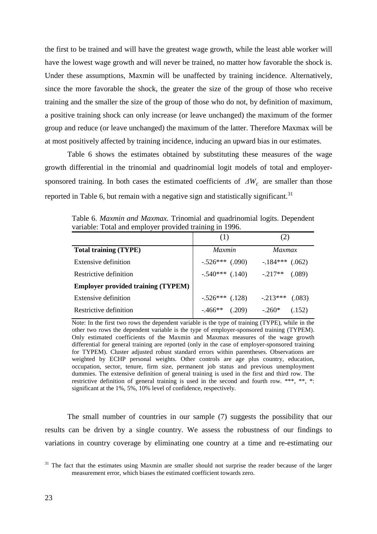the first to be trained and will have the greatest wage growth, while the least able worker will have the lowest wage growth and will never be trained, no matter how favorable the shock is. Under these assumptions, Maxmin will be unaffected by training incidence. Alternatively, since the more favorable the shock, the greater the size of the group of those who receive training and the smaller the size of the group of those who do not, by definition of maximum, a positive training shock can only increase (or leave unchanged) the maximum of the former group and reduce (or leave unchanged) the maximum of the latter. Therefore Maxmax will be at most positively affected by training incidence, inducing an upward bias in our estimates.

Table 6 shows the estimates obtained by substituting these measures of the wage growth differential in the trinomial and quadrinomial logit models of total and employersponsored training. In both cases the estimated coefficients of  $\Delta W_c$  are smaller than those reported in Table 6, but remain with a negative sign and statistically significant.<sup>31</sup>

|                                           | (1)                 | (2)                  |
|-------------------------------------------|---------------------|----------------------|
| <b>Total training (TYPE)</b>              | <i>Maxmin</i>       | <i>Maxmax</i>        |
| Extensive definition                      | $-.526***$ (.090)   | $-184***$<br>(.062)  |
| Restrictive definition                    | $-.540***$ $(.140)$ | $-0.217**$<br>(.089) |
| <b>Employer provided training (TYPEM)</b> |                     |                      |
| Extensive definition                      | $-.526***$ (.128)   | $-213***$<br>(.083)  |
| Restrictive definition                    | $-466**$<br>(.209)  | $-.260*$<br>(.152)   |

Table 6. *Maxmin and Maxmax.* Trinomial and quadrinomial logits. Dependent variable: Total and employer provided training in 1996.

Note: In the first two rows the dependent variable is the type of training (TYPE), while in the other two rows the dependent variable is the type of employer-sponsored training (TYPEM). Only estimated coefficients of the Maxmin and Maxmax measures of the wage growth differential for general training are reported (only in the case of employer-sponsored training for TYPEM). Cluster adjusted robust standard errors within parentheses. Observations are weighted by ECHP personal weights. Other controls are age plus country, education, occupation, sector, tenure, firm size, permanent job status and previous unemployment dummies. The extensive definition of general training is used in the first and third row. The restrictive definition of general training is used in the second and fourth row. \*\*\*, \*\*, \*: significant at the 1%, 5%, 10% level of confidence, respectively.

The small number of countries in our sample (7) suggests the possibility that our results can be driven by a single country. We assess the robustness of our findings to variations in country coverage by eliminating one country at a time and re-estimating our

<sup>&</sup>lt;sup>31</sup> The fact that the estimates using Maxmin are smaller should not surprise the reader because of the larger measurement error, which biases the estimated coefficient towards zero.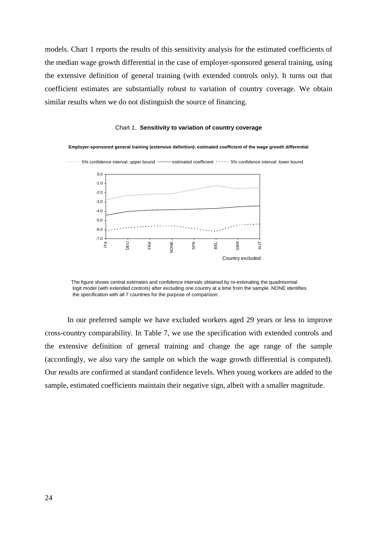models. Chart 1 reports the results of this sensitivity analysis for the estimated coefficients of the median wage growth differential in the case of employer-sponsored general training, using the extensive definition of general training (with extended controls only). It turns out that coefficient estimates are substantially robust to variation of country coverage. We obtain similar results when we do not distinguish the source of financing.





The figure shows central estimates and confidence intervals obtained by re-estimating the quadrinomial logit model (with extended controls) after excluding one country at a time from the sample. NONE identifies the specification with all 7 countries for the purpose of comparison.

In our preferred sample we have excluded workers aged 29 years or less to improve cross-country comparability. In Table 7, we use the specification with extended controls and the extensive definition of general training and change the age range of the sample (accordingly, we also vary the sample on which the wage growth differential is computed). Our results are confirmed at standard confidence levels. When young workers are added to the sample, estimated coefficients maintain their negative sign, albeit with a smaller magnitude.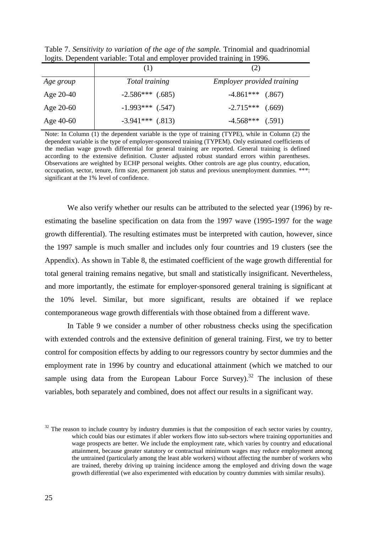Table 7. *Sensitivity to variation of the age of the sample.* Trinomial and quadrinomial logits. Dependent variable: Total and employer provided training in 1996.

|           | (1)                | (2)                               |
|-----------|--------------------|-----------------------------------|
| Age group | Total training     | <b>Employer provided training</b> |
| Age 20-40 | $-2.586***$ (.685) | $-4.861***$ (.867)                |
| Age 20-60 | $-1.993***$ (.547) | $-2.715***$ (.669)                |
| Age 40-60 | $-3.941***$ (.813) | $-4.568***$ (.591)                |

Note: In Column (1) the dependent variable is the type of training (TYPE), while in Column (2) the dependent variable is the type of employer-sponsored training (TYPEM). Only estimated coefficients of the median wage growth differential for general training are reported. General training is defined according to the extensive definition. Cluster adjusted robust standard errors within parentheses. Observations are weighted by ECHP personal weights. Other controls are age plus country, education, occupation, sector, tenure, firm size, permanent job status and previous unemployment dummies. \*\*\*: significant at the 1% level of confidence.

We also verify whether our results can be attributed to the selected year (1996) by reestimating the baseline specification on data from the 1997 wave (1995-1997 for the wage growth differential). The resulting estimates must be interpreted with caution, however, since the 1997 sample is much smaller and includes only four countries and 19 clusters (see the Appendix). As shown in Table 8, the estimated coefficient of the wage growth differential for total general training remains negative, but small and statistically insignificant. Nevertheless, and more importantly, the estimate for employer-sponsored general training is significant at the 10% level. Similar, but more significant, results are obtained if we replace contemporaneous wage growth differentials with those obtained from a different wave.

In Table 9 we consider a number of other robustness checks using the specification with extended controls and the extensive definition of general training. First, we try to better control for composition effects by adding to our regressors country by sector dummies and the employment rate in 1996 by country and educational attainment (which we matched to our sample using data from the European Labour Force Survey).<sup>32</sup> The inclusion of these variables, both separately and combined, does not affect our results in a significant way.

 $32$  The reason to include country by industry dummies is that the composition of each sector varies by country, which could bias our estimates if abler workers flow into sub-sectors where training opportunities and wage prospects are better. We include the employment rate, which varies by country and educational attainment, because greater statutory or contractual minimum wages may reduce employment among the untrained (particularly among the least able workers) without affecting the number of workers who are trained, thereby driving up training incidence among the employed and driving down the wage growth differential (we also experimented with education by country dummies with similar results).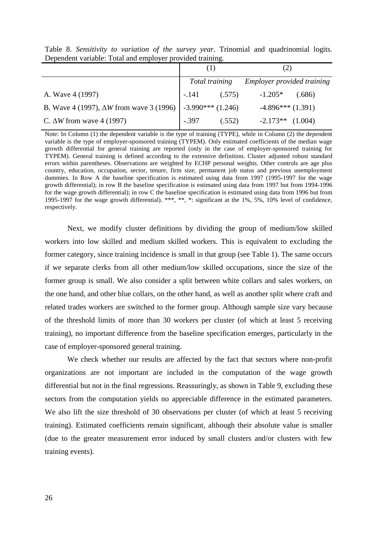|                                                                     | Total training |        | Employer provided training |         |
|---------------------------------------------------------------------|----------------|--------|----------------------------|---------|
| A. Wave 4 (1997)                                                    | -.141          | (.575) | $-1.205*$                  | (.686)  |
| B. Wave 4 (1997), $\Delta W$ from wave 3 (1996)   -3.990*** (1.246) |                |        | $-4.896***(1.391)$         |         |
| C. $\Delta W$ from wave 4 (1997)                                    | $-.397$        | (.552) | $-2.173**$                 | (1.004) |

Table 8. *Sensitivity to variation of the survey year.* Trinomial and quadrinomial logits. Dependent variable: Total and employer provided training.

Note: In Column (1) the dependent variable is the type of training (TYPE), while in Column (2) the dependent variable is the type of employer-sponsored training (TYPEM). Only estimated coefficients of the median wage growth differential for general training are reported (only in the case of employer-sponsored training for TYPEM). General training is defined according to the extensive definition. Cluster adjusted robust standard errors within parentheses. Observations are weighted by ECHP personal weights. Other controls are age plus country, education, occupation, sector, tenure, firm size, permanent job status and previous unemployment dummies. In Row A the baseline specification is estimated using data from 1997 (1995-1997 for the wage growth differential); in row B the baseline specification is estimated using data from 1997 but from 1994-1996 for the wage growth differential); in row C the baseline specification is estimated using data from 1996 but from 1995-1997 for the wage growth differential). \*\*\*, \*\*, \*: significant at the 1%, 5%, 10% level of confidence, respectively.

Next, we modify cluster definitions by dividing the group of medium/low skilled workers into low skilled and medium skilled workers. This is equivalent to excluding the former category, since training incidence is small in that group (see Table 1). The same occurs if we separate clerks from all other medium/low skilled occupations, since the size of the former group is small. We also consider a split between white collars and sales workers, on the one hand, and other blue collars, on the other hand, as well as another split where craft and related trades workers are switched to the former group. Although sample size vary because of the threshold limits of more than 30 workers per cluster (of which at least 5 receiving training), no important difference from the baseline specification emerges, particularly in the case of employer-sponsored general training.

We check whether our results are affected by the fact that sectors where non-profit organizations are not important are included in the computation of the wage growth differential but not in the final regressions. Reassuringly, as shown in Table 9, excluding these sectors from the computation yields no appreciable difference in the estimated parameters. We also lift the size threshold of 30 observations per cluster (of which at least 5 receiving training). Estimated coefficients remain significant, although their absolute value is smaller (due to the greater measurement error induced by small clusters and/or clusters with few training events).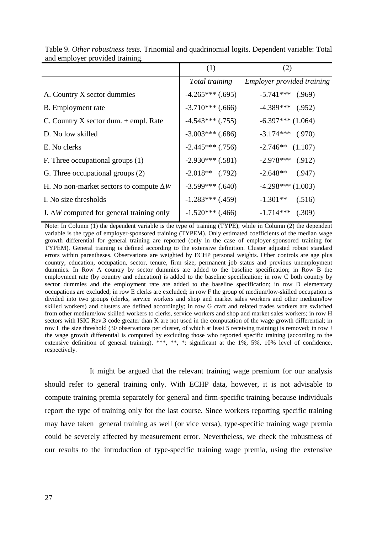|                                                  | (1)                | (2)                        |
|--------------------------------------------------|--------------------|----------------------------|
|                                                  | Total training     | Employer provided training |
| A. Country X sector dummies                      | $-4.265***(0.695)$ | $-5.741***$ (.969)         |
| B. Employment rate                               | $-3.710***$ (.666) | $-4.389***$ (.952)         |
| C. Country $X$ sector dum. $+$ empl. Rate        | $-4.543***$ (.755) | $-6.397***(1.064)$         |
| D. No low skilled                                | $-3.003***$ (.686) | $-3.174***$ (.970)         |
| E. No clerks                                     | $-2.445***$ (.756) | $-2.746**$ (1.107)         |
| F. Three occupational groups (1)                 | $-2.930***$ (.581) | $-2.978***$ (.912)         |
| G. Three occupational groups (2)                 | $-2.018**$ (.792)  | $-2.648**$ (.947)          |
| H. No non-market sectors to compute $\Delta W$   | $-3.599***$ (.640) | $-4.298***(1.003)$         |
| I. No size thresholds                            | $-1.283***$ (.459) | $-1.301**$<br>(.516)       |
| J. $\Delta W$ computed for general training only | $-1.520***$ (.466) | $-1.714***$<br>(.309)      |

Table 9. *Other robustness tests.* Trinomial and quadrinomial logits. Dependent variable: Total and employer provided training.

Note: In Column (1) the dependent variable is the type of training (TYPE), while in Column (2) the dependent variable is the type of employer-sponsored training (TYPEM). Only estimated coefficients of the median wage growth differential for general training are reported (only in the case of employer-sponsored training for TYPEM). General training is defined according to the extensive definition. Cluster adjusted robust standard errors within parentheses. Observations are weighted by ECHP personal weights. Other controls are age plus country, education, occupation, sector, tenure, firm size, permanent job status and previous unemployment dummies. In Row A country by sector dummies are added to the baseline specification; in Row B the employment rate (by country and education) is added to the baseline specification; in row C both country by sector dummies and the employment rate are added to the baseline specification; in row D elementary occupations are excluded; in row E clerks are excluded; in row F the group of medium/low-skilled occupation is divided into two groups (clerks, service workers and shop and market sales workers and other medium/low skilled workers) and clusters are defined accordingly; in row G craft and related trades workers are switched from other medium/low skilled workers to clerks, service workers and shop and market sales workers; in row H sectors with ISIC Rev.3 code greater than K are not used in the computation of the wage growth differential; in row I the size threshold (30 observations per cluster, of which at least 5 receiving training) is removed; in row J the wage growth differential is computed by excluding those who reported specific training (according to the extensive definition of general training). \*\*\*, \*\*, \*: significant at the 1%, 5%, 10% level of confidence, respectively.

It might be argued that the relevant training wage premium for our analysis should refer to general training only. With ECHP data, however, it is not advisable to compute training premia separately for general and firm-specific training because individuals report the type of training only for the last course. Since workers reporting specific training may have taken general training as well (or vice versa), type-specific training wage premia could be severely affected by measurement error. Nevertheless, we check the robustness of our results to the introduction of type-specific training wage premia, using the extensive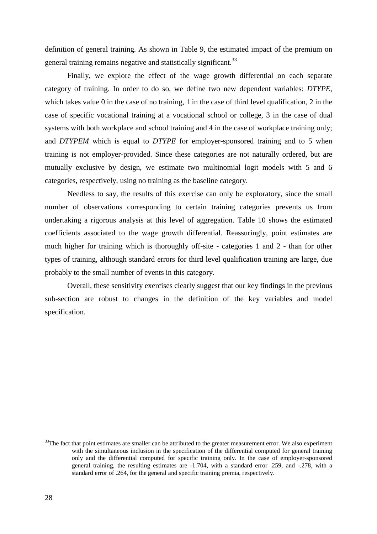definition of general training. As shown in Table 9, the estimated impact of the premium on general training remains negative and statistically significant.<sup>33</sup>

Finally, we explore the effect of the wage growth differential on each separate category of training. In order to do so, we define two new dependent variables: *DTYPE*, which takes value 0 in the case of no training, 1 in the case of third level qualification, 2 in the case of specific vocational training at a vocational school or college, 3 in the case of dual systems with both workplace and school training and 4 in the case of workplace training only; and *DTYPEM* which is equal to *DTYPE* for employer-sponsored training and to 5 when training is not employer-provided. Since these categories are not naturally ordered, but are mutually exclusive by design, we estimate two multinomial logit models with 5 and 6 categories, respectively, using no training as the baseline category.

Needless to say, the results of this exercise can only be exploratory, since the small number of observations corresponding to certain training categories prevents us from undertaking a rigorous analysis at this level of aggregation. Table 10 shows the estimated coefficients associated to the wage growth differential. Reassuringly, point estimates are much higher for training which is thoroughly off-site - categories 1 and 2 - than for other types of training, although standard errors for third level qualification training are large, due probably to the small number of events in this category.

Overall, these sensitivity exercises clearly suggest that our key findings in the previous sub-section are robust to changes in the definition of the key variables and model specification.

 $33$ The fact that point estimates are smaller can be attributed to the greater measurement error. We also experiment with the simultaneous inclusion in the specification of the differential computed for general training only and the differential computed for specific training only. In the case of employer-sponsored general training, the resulting estimates are -1.704, with a standard error .259, and -.278, with a standard error of .264, for the general and specific training premia, respectively.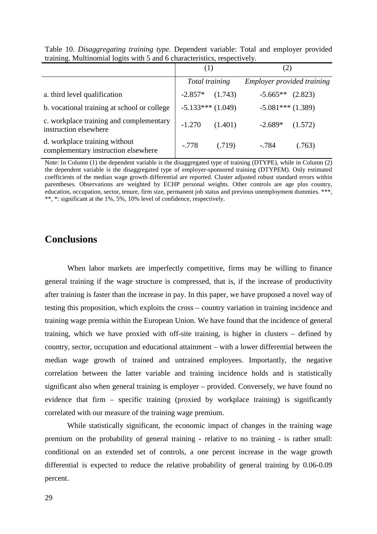|                                                                      | (1)                |         |                            |         |
|----------------------------------------------------------------------|--------------------|---------|----------------------------|---------|
|                                                                      | Total training     |         | Employer provided training |         |
| a. third level qualification                                         | $-2.857*$          | (1.743) | $-5.665**$ (2.823)         |         |
| b. vocational training at school or college                          | $-5.133***(1.049)$ |         | $-5.081***(1.389)$         |         |
| c. workplace training and complementary<br>instruction elsewhere     | $-1.270$           | (1.401) | $-2.689*$                  | (1.572) |
| d. workplace training without<br>complementary instruction elsewhere | $-.778$            | (.719)  | $-784$                     | (0.763) |

Table 10. *Disaggregating training type.* Dependent variable: Total and employer provided training. Multinomial logits with 5 and 6 characteristics, respectively.

Note: In Column (1) the dependent variable is the disaggregated type of training (DTYPE), while in Column (2) the dependent variable is the disaggregated type of employer-sponsored training (DTYPEM). Only estimated coefficients of the median wage growth differential are reported. Cluster adjusted robust standard errors within parentheses. Observations are weighted by ECHP personal weights. Other controls are age plus country, education, occupation, sector, tenure, firm size, permanent job status and previous unemployment dummies. \*\*\*, \*\*, \*: significant at the 1%, 5%, 10% level of confidence, respectively.

#### **Conclusions**

When labor markets are imperfectly competitive, firms may be willing to finance general training if the wage structure is compressed, that is, if the increase of productivity after training is faster than the increase in pay. In this paper, we have proposed a novel way of testing this proposition, which exploits the cross – country variation in training incidence and training wage premia within the European Union. We have found that the incidence of general training, which we have proxied with off-site training, is higher in clusters – defined by country, sector, occupation and educational attainment – with a lower differential between the median wage growth of trained and untrained employees. Importantly, the negative correlation between the latter variable and training incidence holds and is statistically significant also when general training is employer – provided. Conversely, we have found no evidence that firm – specific training (proxied by workplace training) is significantly correlated with our measure of the training wage premium.

While statistically significant, the economic impact of changes in the training wage premium on the probability of general training - relative to no training - is rather small: conditional on an extended set of controls, a one percent increase in the wage growth differential is expected to reduce the relative probability of general training by 0.06-0.09 percent.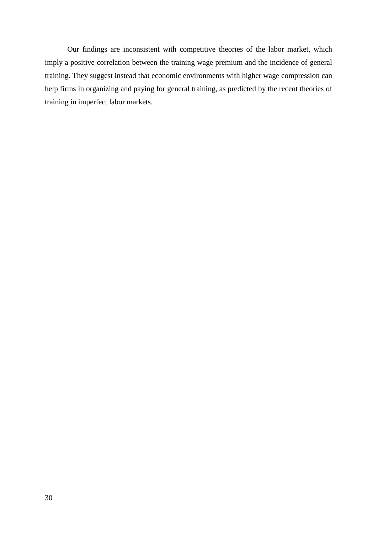Our findings are inconsistent with competitive theories of the labor market, which imply a positive correlation between the training wage premium and the incidence of general training. They suggest instead that economic environments with higher wage compression can help firms in organizing and paying for general training, as predicted by the recent theories of training in imperfect labor markets.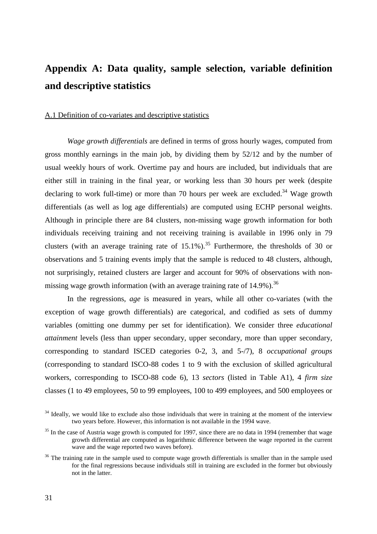## **Appendix A: Data quality, sample selection, variable definition and descriptive statistics**

#### A.1 Definition of co-variates and descriptive statistics

*Wage growth differentials* are defined in terms of gross hourly wages, computed from gross monthly earnings in the main job, by dividing them by 52/12 and by the number of usual weekly hours of work. Overtime pay and hours are included, but individuals that are either still in training in the final year, or working less than 30 hours per week (despite declaring to work full-time) or more than 70 hours per week are excluded.<sup>34</sup> Wage growth differentials (as well as log age differentials) are computed using ECHP personal weights. Although in principle there are 84 clusters, non-missing wage growth information for both individuals receiving training and not receiving training is available in 1996 only in 79 clusters (with an average training rate of  $15.1\%$ ).<sup>35</sup> Furthermore, the thresholds of 30 or observations and 5 training events imply that the sample is reduced to 48 clusters, although, not surprisingly, retained clusters are larger and account for 90% of observations with nonmissing wage growth information (with an average training rate of  $14.9\%$ ).<sup>36</sup>

In the regressions, *age* is measured in years, while all other co-variates (with the exception of wage growth differentials) are categorical, and codified as sets of dummy variables (omitting one dummy per set for identification). We consider three *educational attainment* levels (less than upper secondary, upper secondary, more than upper secondary, corresponding to standard ISCED categories 0-2, 3, and 5-/7), 8 *occupational groups* (corresponding to standard ISCO-88 codes 1 to 9 with the exclusion of skilled agricultural workers, corresponding to ISCO-88 code 6), 13 *sectors* (listed in Table A1), 4 *firm size* classes (1 to 49 employees, 50 to 99 employees, 100 to 499 employees, and 500 employees or

 $34$  Ideally, we would like to exclude also those individuals that were in training at the moment of the interview two years before. However, this information is not available in the 1994 wave.

<sup>&</sup>lt;sup>35</sup> In the case of Austria wage growth is computed for 1997, since there are no data in 1994 (remember that wage growth differential are computed as logarithmic difference between the wage reported in the current wave and the wage reported two waves before).

<sup>&</sup>lt;sup>36</sup> The training rate in the sample used to compute wage growth differentials is smaller than in the sample used for the final regressions because individuals still in training are excluded in the former but obviously not in the latter.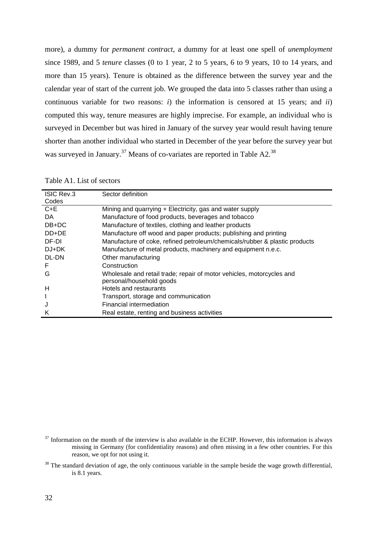more), a dummy for *permanent contract*, a dummy for at least one spell of *unemployment* since 1989, and 5 *tenure* classes (0 to 1 year, 2 to 5 years, 6 to 9 years, 10 to 14 years, and more than 15 years). Tenure is obtained as the difference between the survey year and the calendar year of start of the current job. We grouped the data into 5 classes rather than using a continuous variable for two reasons: *i*) the information is censored at 15 years; and *ii*) computed this way, tenure measures are highly imprecise. For example, an individual who is surveyed in December but was hired in January of the survey year would result having tenure shorter than another individual who started in December of the year before the survey year but was surveyed in January.<sup>37</sup> Means of co-variates are reported in Table A2.<sup>38</sup>

| Table A1. List of sectors |  |  |
|---------------------------|--|--|
|---------------------------|--|--|

| <b>ISIC Rev.3</b><br>Codes | Sector definition                                                          |
|----------------------------|----------------------------------------------------------------------------|
| $C + E$                    | Mining and quarrying + Electricity, gas and water supply                   |
| DA.                        | Manufacture of food products, beverages and tobacco                        |
| $DB+DC$                    | Manufacture of textiles, clothing and leather products                     |
| DD+DE                      | Manufacture off wood and paper products; publishing and printing           |
| DF-DI                      | Manufacture of coke, refined petroleum/chemicals/rubber & plastic products |
| $DJ+DK$                    | Manufacture of metal products, machinery and equipment n.e.c.              |
| DL-DN                      | Other manufacturing                                                        |
| F                          | Construction                                                               |
| G                          | Wholesale and retail trade; repair of motor vehicles, motorcycles and      |
|                            | personal/household goods                                                   |
| н                          | Hotels and restaurants                                                     |
|                            | Transport, storage and communication                                       |
| J                          | Financial intermediation                                                   |
| Κ                          | Real estate, renting and business activities                               |

 $37$  Information on the month of the interview is also available in the ECHP. However, this information is always missing in Germany (for confidentiality reasons) and often missing in a few other countries. For this reason, we opt for not using it.

<sup>&</sup>lt;sup>38</sup> The standard deviation of age, the only continuous variable in the sample beside the wage growth differential, is 8.1 years.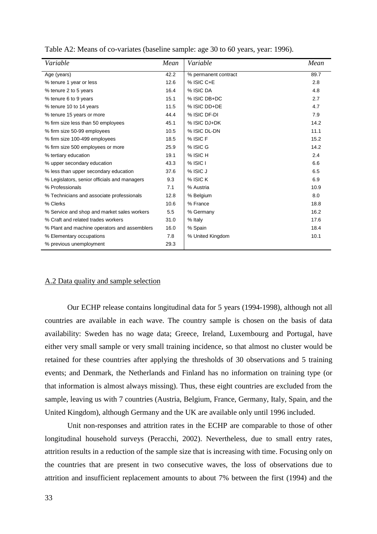| Variable                                     | Mean | Variable             | Mean |
|----------------------------------------------|------|----------------------|------|
| Age (years)                                  | 42.2 | % permanent contract | 89.7 |
| % tenure 1 year or less                      | 12.6 | % ISIC C+E           | 2.8  |
| % tenure 2 to 5 years                        | 16.4 | % ISIC DA            | 4.8  |
| % tenure 6 to 9 years                        | 15.1 | % ISIC DB+DC         | 2.7  |
| % tenure 10 to 14 years                      | 11.5 | % ISIC DD+DE         | 4.7  |
| % tenure 15 years or more                    | 44.4 | % ISIC DF-DI         | 7.9  |
| % firm size less than 50 employees           | 45.1 | % ISIC DJ+DK         | 14.2 |
| % firm size 50-99 employees                  | 10.5 | % ISIC DL-DN         | 11.1 |
| % firm size 100-499 employees                | 18.5 | % ISIC F             | 15.2 |
| % firm size 500 employees or more            | 25.9 | % ISIC G             | 14.2 |
| % tertiary education                         | 19.1 | % ISIC H             | 2.4  |
| % upper secondary education                  | 43.3 | $%$ ISIC I           | 6.6  |
| % less than upper secondary education        | 37.6 | % ISIC J             | 6.5  |
| % Legislators, senior officials and managers | 9.3  | % ISIC K             | 6.9  |
| % Professionals                              | 7.1  | % Austria            | 10.9 |
| % Technicians and associate professionals    | 12.8 | % Belgium            | 8.0  |
| % Clerks                                     | 10.6 | % France             | 18.8 |
| % Service and shop and market sales workers  | 5.5  | % Germany            | 16.2 |
| % Craft and related trades workers           | 31.0 | % Italy              | 17.6 |
| % Plant and machine operators and assemblers | 16.0 | % Spain              | 18.4 |
| % Elementary occupations                     | 7.8  | % United Kingdom     | 10.1 |
| % previous unemployment                      | 29.3 |                      |      |

Table A2: Means of co-variates (baseline sample: age 30 to 60 years, year: 1996).

#### A.2 Data quality and sample selection

Our ECHP release contains longitudinal data for 5 years (1994-1998), although not all countries are available in each wave. The country sample is chosen on the basis of data availability: Sweden has no wage data; Greece, Ireland, Luxembourg and Portugal, have either very small sample or very small training incidence, so that almost no cluster would be retained for these countries after applying the thresholds of 30 observations and 5 training events; and Denmark, the Netherlands and Finland has no information on training type (or that information is almost always missing). Thus, these eight countries are excluded from the sample, leaving us with 7 countries (Austria, Belgium, France, Germany, Italy, Spain, and the United Kingdom), although Germany and the UK are available only until 1996 included.

Unit non-responses and attrition rates in the ECHP are comparable to those of other longitudinal household surveys (Peracchi, 2002). Nevertheless, due to small entry rates, attrition results in a reduction of the sample size that is increasing with time. Focusing only on the countries that are present in two consecutive waves, the loss of observations due to attrition and insufficient replacement amounts to about 7% between the first (1994) and the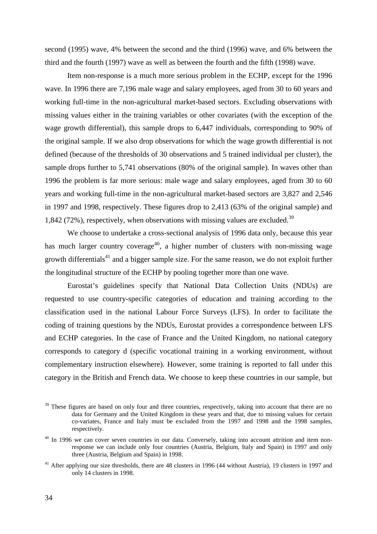second (1995) wave, 4% between the second and the third (1996) wave, and 6% between the third and the fourth (1997) wave as well as between the fourth and the fifth (1998) wave.

Item non-response is a much more serious problem in the ECHP, except for the 1996 wave. In 1996 there are 7,196 male wage and salary employees, aged from 30 to 60 years and working full-time in the non-agricultural market-based sectors. Excluding observations with missing values either in the training variables or other covariates (with the exception of the wage growth differential), this sample drops to 6,447 individuals, corresponding to 90% of the original sample. If we also drop observations for which the wage growth differential is not defined (because of the thresholds of 30 observations and 5 trained individual per cluster), the sample drops further to 5,741 observations (80% of the original sample). In waves other than 1996 the problem is far more serious: male wage and salary employees, aged from 30 to 60 years and working full-time in the non-agricultural market-based sectors are 3,827 and 2,546 in 1997 and 1998, respectively. These figures drop to 2,413 (63% of the original sample) and 1,842 (72%), respectively, when observations with missing values are excluded.<sup>39</sup>

We choose to undertake a cross-sectional analysis of 1996 data only, because this year has much larger country coverage<sup>40</sup>, a higher number of clusters with non-missing wage growth differentials<sup>41</sup> and a bigger sample size. For the same reason, we do not exploit further the longitudinal structure of the ECHP by pooling together more than one wave.

Eurostat's guidelines specify that National Data Collection Units (NDUs) are requested to use country-specific categories of education and training according to the classification used in the national Labour Force Surveys (LFS). In order to facilitate the coding of training questions by the NDUs, Eurostat provides a correspondence between LFS and ECHP categories. In the case of France and the United Kingdom, no national category corresponds to category d (specific vocational training in a working environment, without complementary instruction elsewhere). However, some training is reported to fall under this category in the British and French data. We choose to keep these countries in our sample, but

<sup>&</sup>lt;sup>39</sup> These figures are based on only four and three countries, respectively, taking into account that there are no data for Germany and the United Kingdom in these years and that, due to missing values for certain co-variates, France and Italy must be excluded from the 1997 and 1998 and the 1998 samples, respectively.

<sup>&</sup>lt;sup>40</sup> In 1996 we can cover seven countries in our data. Conversely, taking into account attrition and item nonresponse we can include only four countries (Austria, Belgium, Italy and Spain) in 1997 and only three (Austria, Belgium and Spain) in 1998.

<sup>&</sup>lt;sup>41</sup> After applying our size thresholds, there are 48 clusters in 1996 (44 without Austria), 19 clusters in 1997 and only 14 clusters in 1998.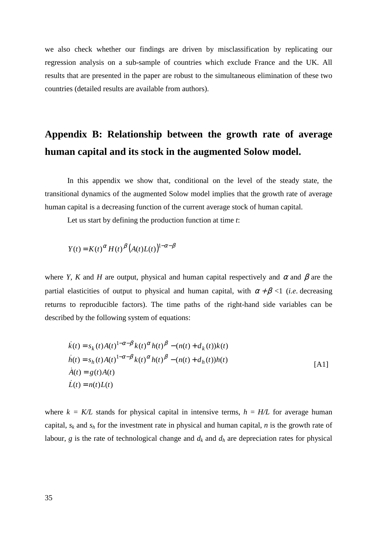we also check whether our findings are driven by misclassification by replicating our regression analysis on a sub-sample of countries which exclude France and the UK. All results that are presented in the paper are robust to the simultaneous elimination of these two countries (detailed results are available from authors).

## **Appendix B: Relationship between the growth rate of average human capital and its stock in the augmented Solow model.**

In this appendix we show that, conditional on the level of the steady state, the transitional dynamics of the augmented Solow model implies that the growth rate of average human capital is a decreasing function of the current average stock of human capital.

Let us start by defining the production function at time *t*:

$$
Y(t) = K(t)^{\alpha} H(t)^{\beta} (A(t)L(t))^{1-\alpha-\beta}
$$

where *Y*, *K* and *H* are output, physical and human capital respectively and  $\alpha$  and  $\beta$  are the partial elasticities of output to physical and human capital, with  $\alpha + \beta < 1$  (*i.e.* decreasing returns to reproducible factors). The time paths of the right-hand side variables can be described by the following system of equations:

$$
\dot{k}(t) = s_k(t)A(t)^{1-\alpha-\beta}k(t)^{\alpha}h(t)^{\beta} - (n(t) + d_k(t))k(t) \n\dot{h}(t) = s_h(t)A(t)^{1-\alpha-\beta}k(t)^{\alpha}h(t)^{\beta} - (n(t) + d_h(t))h(t) \n\dot{A}(t) = g(t)A(t) \n\dot{L}(t) = n(t)L(t)
$$
\n(A1)

where  $k = K/L$  stands for physical capital in intensive terms,  $h = H/L$  for average human capital, *sk* and *sh* for the investment rate in physical and human capital, *n* is the growth rate of labour,  $g$  is the rate of technological change and  $d_k$  and  $d_h$  are depreciation rates for physical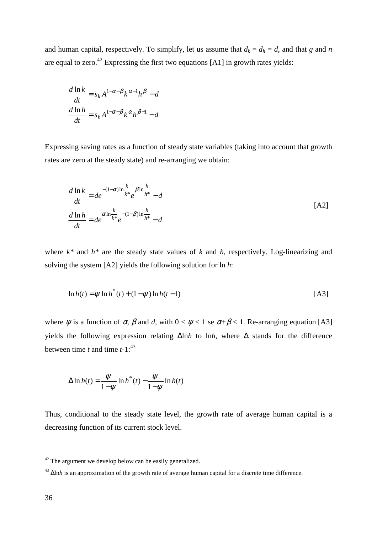and human capital, respectively. To simplify, let us assume that  $d_k = d_h = d$ , and that *g* and *n* are equal to zero.<sup>42</sup> Expressing the first two equations [A1] in growth rates yields:

$$
\frac{d \ln k}{dt} = s_k A^{1-\alpha-\beta} k^{\alpha-1} h^{\beta} - d
$$

$$
\frac{d \ln h}{dt} = s_h A^{1-\alpha-\beta} k^{\alpha} h^{\beta-1} - d
$$

Expressing saving rates as a function of steady state variables (taking into account that growth rates are zero at the steady state) and re-arranging we obtain:

$$
\frac{d \ln k}{dt} = de^{- (1-\alpha)\ln \frac{k}{k^*}} e^{-\beta \ln \frac{h}{h^*}} - d
$$
\n
$$
\frac{d \ln h}{dt} = de^{\alpha \ln \frac{k}{k^*}} e^{-(1-\beta)\ln \frac{h}{h^*}} - d
$$
\n[A2]

where  $k^*$  and  $h^*$  are the steady state values of  $k$  and  $h$ , respectively. Log-linearizing and solving the system [A2] yields the following solution for ln *h*:

$$
\ln h(t) = \psi \ln h^*(t) + (1 - \psi) \ln h(t - 1)
$$
 [A3]

where  $\psi$  is a function of  $\alpha$ ,  $\beta$  and  $d$ , with  $0 < \psi < 1$  se  $\alpha + \beta < 1$ . Re-arranging equation [A3] yields the following expression relating ∆ln*h* to ln*h*, where ∆ stands for the difference between time  $t$  and time  $t-1$ :<sup>43</sup>

$$
\Delta \ln h(t) = \frac{\psi}{1 - \psi} \ln h^*(t) - \frac{\psi}{1 - \psi} \ln h(t)
$$

Thus, conditional to the steady state level, the growth rate of average human capital is a decreasing function of its current stock level.

 $42$  The argument we develop below can be easily generalized.

<sup>43</sup> ∆ln*h* is an approximation of the growth rate of average human capital for a discrete time difference.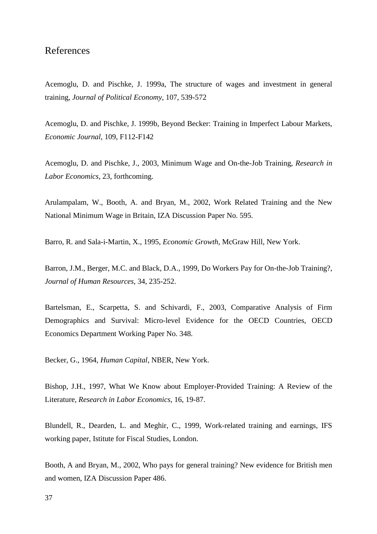### References

Acemoglu, D. and Pischke, J. 1999a, The structure of wages and investment in general training, *Journal of Political Economy*, 107, 539-572

Acemoglu, D. and Pischke, J. 1999b, Beyond Becker: Training in Imperfect Labour Markets, *Economic Journal*, 109, F112-F142

Acemoglu, D. and Pischke, J., 2003, Minimum Wage and On-the-Job Training, *Research in Labor Economics*, 23, forthcoming.

Arulampalam, W., Booth, A. and Bryan, M., 2002, Work Related Training and the New National Minimum Wage in Britain, IZA Discussion Paper No. 595.

Barro, R. and Sala-i-Martin, X., 1995, *Economic Growth*, McGraw Hill, New York.

Barron, J.M., Berger, M.C. and Black, D.A., 1999, Do Workers Pay for On-the-Job Training?, *Journal of Human Resources*, 34, 235-252.

Bartelsman, E., Scarpetta, S. and Schivardi, F., 2003, Comparative Analysis of Firm Demographics and Survival: Micro-level Evidence for the OECD Countries, OECD Economics Department Working Paper No. 348.

Becker, G., 1964, *Human Capital*, NBER, New York.

Bishop, J.H., 1997, What We Know about Employer-Provided Training: A Review of the Literature, *Research in Labor Economics*, 16, 19-87.

Blundell, R., Dearden, L. and Meghir, C., 1999, Work-related training and earnings, IFS working paper, Istitute for Fiscal Studies, London.

Booth, A and Bryan, M., 2002, Who pays for general training? New evidence for British men and women, IZA Discussion Paper 486.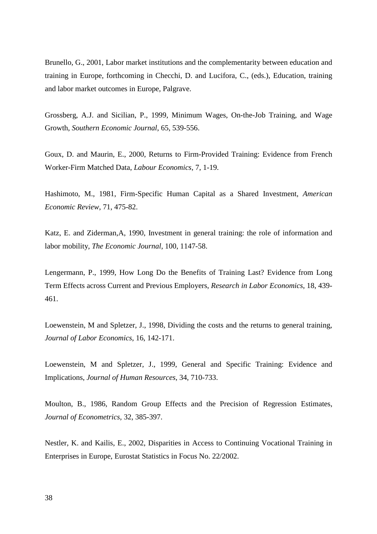Brunello, G., 2001, Labor market institutions and the complementarity between education and training in Europe, forthcoming in Checchi, D. and Lucifora, C., (eds.), Education, training and labor market outcomes in Europe, Palgrave.

Grossberg, A.J. and Sicilian, P., 1999, Minimum Wages, On-the-Job Training, and Wage Growth, *Southern Economic Journal*, 65, 539-556.

Goux, D. and Maurin, E., 2000, Returns to Firm-Provided Training: Evidence from French Worker-Firm Matched Data, *Labour Economics*, 7, 1-19.

Hashimoto, M., 1981, Firm-Specific Human Capital as a Shared Investment, *American Economic Review*, 71, 475-82.

Katz, E. and Ziderman,A, 1990, Investment in general training: the role of information and labor mobility, *The Economic Journal*, 100, 1147-58.

Lengermann, P., 1999, How Long Do the Benefits of Training Last? Evidence from Long Term Effects across Current and Previous Employers, *Research in Labor Economics*, 18, 439- 461.

Loewenstein, M and Spletzer, J., 1998, Dividing the costs and the returns to general training, *Journal of Labor Economics*, 16, 142-171.

Loewenstein, M and Spletzer, J., 1999, General and Specific Training: Evidence and Implications, *Journal of Human Resources*, 34, 710-733.

Moulton, B., 1986, Random Group Effects and the Precision of Regression Estimates, *Journal of Econometrics,* 32, 385-397.

Nestler, K. and Kailis, E., 2002, Disparities in Access to Continuing Vocational Training in Enterprises in Europe, Eurostat Statistics in Focus No. 22/2002.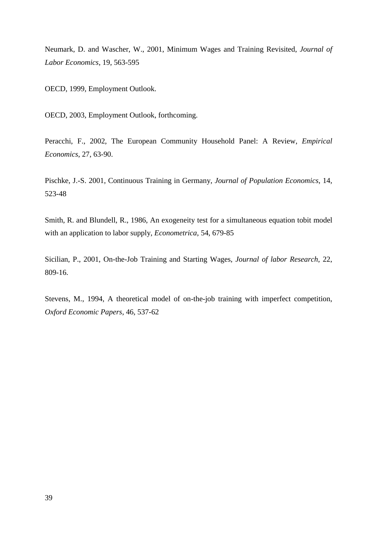Neumark, D. and Wascher, W., 2001, Minimum Wages and Training Revisited, *Journal of Labor Economics*, 19, 563-595

OECD, 1999, Employment Outlook.

OECD, 2003, Employment Outlook, forthcoming.

Peracchi, F., 2002, The European Community Household Panel: A Review, *Empirical Economics*, 27, 63-90.

Pischke, J.-S. 2001, Continuous Training in Germany, *Journal of Population Economics*, 14, 523-48

Smith, R. and Blundell, R., 1986, An exogeneity test for a simultaneous equation tobit model with an application to labor supply, *Econometrica*, 54, 679-85

Sicilian, P., 2001, On-the-Job Training and Starting Wages, *Journal of labor Research*, 22, 809-16.

Stevens, M., 1994, A theoretical model of on-the-job training with imperfect competition, *Oxford Economic Papers*, 46, 537-62